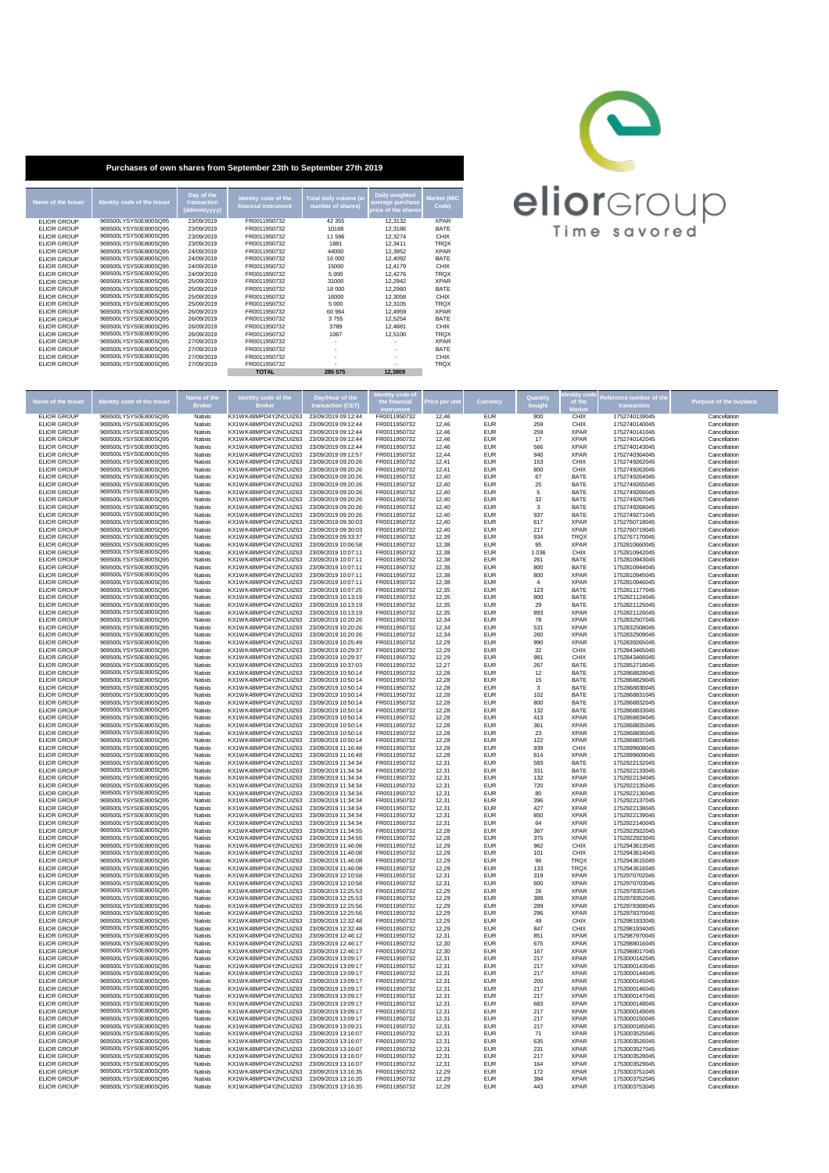| Name of the Issuer | Identity code of the Issuer | Day of the<br>transaction<br>(dd/mm/yyyy) | Identity code of the<br>financial instrument | Total daily volume (in<br>number of shares) | <b>Daily weighted</b><br>average purchase<br>price of the shares | <b>Market (MIC</b><br>Code) |
|--------------------|-----------------------------|-------------------------------------------|----------------------------------------------|---------------------------------------------|------------------------------------------------------------------|-----------------------------|
| <b>ELIOR GROUP</b> | 969500LYSYS0E800SQ95        | 23/09/2019                                | FR0011950732                                 | 42 355                                      | 12,3132                                                          | <b>XPAR</b>                 |
| <b>ELIOR GROUP</b> | 969500LYSYS0E800SQ95        | 23/09/2019                                | FR0011950732                                 | 10168                                       | 12,3186                                                          | <b>BATE</b>                 |
| <b>ELIOR GROUP</b> | 969500LYSYS0E800SQ95        | 23/09/2019                                | FR0011950732                                 | 11 596                                      | 12,3274                                                          | <b>CHIX</b>                 |
| <b>ELIOR GROUP</b> | 969500LYSYS0E800SQ95        | 23/09/2019                                | FR0011950732                                 | 1881                                        | 12,3411                                                          | <b>TRQX</b>                 |
| <b>ELIOR GROUP</b> | 969500LYSYS0E800SQ95        | 24/09/2019                                | FR0011950732                                 | 44000                                       | 12,3952                                                          | <b>XPAR</b>                 |
| <b>ELIOR GROUP</b> | 969500LYSYS0E800SQ95        | 24/09/2019                                | FR0011950732                                 | 16 000                                      | 12,4092                                                          | <b>BATE</b>                 |
| <b>ELIOR GROUP</b> | 969500LYSYS0E800SQ95        | 24/09/2019                                | FR0011950732                                 | 15000                                       | 12,4179                                                          | <b>CHIX</b>                 |
| <b>ELIOR GROUP</b> | 969500LYSYS0E800SQ95        | 24/09/2019                                | FR0011950732                                 | 5 0 0 0                                     | 12,4276                                                          | <b>TRQX</b>                 |
| <b>ELIOR GROUP</b> | 969500LYSYS0E800SQ95        | 25/09/2019                                | FR0011950732                                 | 31000                                       | 12,2942                                                          | <b>XPAR</b>                 |
| <b>ELIOR GROUP</b> | 969500LYSYS0E800SQ95        | 25/09/2019                                | FR0011950732                                 | 18 000                                      | 12,2960                                                          | <b>BATE</b>                 |
| <b>ELIOR GROUP</b> | 969500LYSYS0E800SQ95        | 25/09/2019                                | FR0011950732                                 | 16000                                       | 12,3058                                                          | <b>CHIX</b>                 |
| <b>ELIOR GROUP</b> | 969500LYSYS0E800SQ95        | 25/09/2019                                | FR0011950732                                 | 5 0 0 0                                     | 12,3105                                                          | <b>TRQX</b>                 |
| <b>ELIOR GROUP</b> | 969500LYSYS0E800SQ95        | 26/09/2019                                | FR0011950732                                 | 60 964                                      | 12,4959                                                          | <b>XPAR</b>                 |
| <b>ELIOR GROUP</b> | 969500LYSYS0E800SQ95        | 26/09/2019                                | FR0011950732                                 | 3755                                        | 12,5254                                                          | <b>BATE</b>                 |
| <b>ELIOR GROUP</b> | 969500LYSYS0E800SQ95        | 26/09/2019                                | FR0011950732                                 | 3789                                        | 12,4881                                                          | <b>CHIX</b>                 |
| <b>ELIOR GROUP</b> | 969500LYSYS0E800SQ95        | 26/09/2019                                | FR0011950732                                 | 1067                                        | 12,5100                                                          | <b>TRQX</b>                 |
| <b>ELIOR GROUP</b> | 969500LYSYS0E800SQ95        | 27/09/2019                                | FR0011950732                                 |                                             |                                                                  | <b>XPAR</b>                 |
| <b>ELIOR GROUP</b> | 969500LYSYS0E800SQ95        | 27/09/2019                                | FR0011950732                                 |                                             |                                                                  | <b>BATE</b>                 |
| <b>ELIOR GROUP</b> | 969500LYSYS0E800SQ95        | 27/09/2019                                | FR0011950732                                 |                                             |                                                                  | <b>CHIX</b>                 |
| <b>ELIOR GROUP</b> | 969500LYSYS0E800SQ95        | 27/09/2019                                | FR0011950732                                 |                                             |                                                                  | <b>TRQX</b>                 |
|                    |                             |                                           | <b>TOTAL</b>                                 | 285 575                                     | 12,3809                                                          |                             |

|                                          |                                              | Name of the        | <b>Identity code of the</b>                  | Day/Hour of the                            | dentity code o               |                |                          | Quantity   | dentity cod                | Reference number of the        |                               |
|------------------------------------------|----------------------------------------------|--------------------|----------------------------------------------|--------------------------------------------|------------------------------|----------------|--------------------------|------------|----------------------------|--------------------------------|-------------------------------|
| Name of the Issue                        | dentity code of the Issuer                   | <b>Broker</b>      | Broker                                       | transaction (CET)                          | the financial<br>instrument  | Price per uni  | <b>Currency</b>          | bought     | of the<br><b>Market</b>    | transaction                    | <b>Purpose of the buyback</b> |
| <b>ELIOR GROUP</b>                       | 969500LYSYS0E800SQ95                         | Natixis            | KX1WK48MPD4Y2NCUIZ63                         | 23/09/2019 09:12:44                        | FR0011950732                 | 12,46          | <b>EUR</b>               | 800        | <b>CHIX</b>                | 1752740139045                  | Cancellation                  |
| <b>ELIOR GROUP</b>                       | 969500LYSYS0E800SQ95                         | Natixis            | KX1WK48MPD4Y2NCUIZ63                         | 23/09/2019 09:12:44                        | FR0011950732                 | 12,46          | <b>EUR</b>               | 259        | <b>CHIX</b>                | 1752740140045                  | Cancellation                  |
| <b>ELIOR GROUP</b>                       | 969500LYSYS0E800SQ95                         | Natixis            | KX1WK48MPD4Y2NCUIZ63                         | 23/09/2019 09:12:44                        | FR0011950732                 | 12,46          | <b>EUR</b>               | 259        | <b>XPAR</b>                | 1752740141045                  | Cancellation                  |
| <b>ELIOR GROUP</b><br><b>ELIOR GROUP</b> | 969500LYSYS0E800SQ95<br>969500LYSYS0E800SQ95 | Natixis<br>Natixis | KX1WK48MPD4Y2NCUIZ63<br>KX1WK48MPD4Y2NCUIZ63 | 23/09/2019 09:12:44<br>23/09/2019 09:12:44 | FR0011950732<br>FR0011950732 | 12,46<br>12,46 | <b>EUR</b><br><b>EUR</b> | 17<br>566  | <b>XPAR</b><br><b>XPAR</b> | 1752740142045<br>1752740143045 | Cancellation<br>Cancellation  |
| <b>ELIOR GROUP</b>                       | 969500LYSYS0E800SQ95                         | Natixis            | KX1WK48MPD4Y2NCUIZ63                         | 23/09/2019 09:12:57                        | FR0011950732                 | 12,44          | <b>EUR</b>               | 940        | <b>XPAR</b>                | 1752740364045                  | Cancellation                  |
| <b>ELIOR GROUP</b>                       | 969500LYSYS0E800SQ95                         | Natixis            | KX1WK48MPD4Y2NCUIZ63                         | 23/09/2019 09:20:26                        | FR0011950732                 | 12,41          | <b>EUR</b>               | 153        | <b>CHIX</b>                | 1752749262045                  | Cancellation                  |
| <b>ELIOR GROUP</b>                       | 969500LYSYS0E800SQ95                         | Natixis            | KX1WK48MPD4Y2NCUIZ63                         | 23/09/2019 09:20:26                        | FR0011950732                 | 12,41          | <b>EUR</b>               | 800        | <b>CHIX</b>                | 1752749263045                  | Cancellation                  |
| <b>ELIOR GROUP</b><br><b>ELIOR GROUP</b> | 969500LYSYS0E800SQ95<br>969500LYSYS0E800SQ95 | Natixis<br>Natixis | KX1WK48MPD4Y2NCUIZ63<br>KX1WK48MPD4Y2NCUIZ63 | 23/09/2019 09:20:26<br>23/09/2019 09:20:26 | FR0011950732<br>FR0011950732 | 12,40<br>12,40 | <b>EUR</b><br><b>EUR</b> | 67<br>25   | <b>BATE</b><br><b>BATE</b> | 1752749264045<br>1752749265045 | Cancellation<br>Cancellation  |
| <b>ELIOR GROUP</b>                       | 969500LYSYS0E800SQ95                         | Natixis            | KX1WK48MPD4Y2NCUIZ63                         | 23/09/2019 09:20:26                        | FR0011950732                 | 12,40          | <b>EUR</b>               | -5         | <b>BATE</b>                | 1752749266045                  | Cancellation                  |
| <b>ELIOR GROUP</b>                       | 969500LYSYS0E800SQ95                         | Natixis            | KX1WK48MPD4Y2NCUIZ63                         | 23/09/2019 09:20:26                        | FR0011950732                 | 12,40          | <b>EUR</b>               | 32         | <b>BATE</b>                | 1752749267045                  | Cancellation                  |
| <b>ELIOR GROUP</b>                       | 969500LYSYS0E800SQ95                         | Natixis            | KX1WK48MPD4Y2NCUIZ63                         | 23/09/2019 09:20:26                        | FR0011950732                 | 12,40          | <b>EUR</b>               | 3          | <b>BATE</b>                | 1752749268045                  | Cancellation                  |
| <b>ELIOR GROUP</b><br><b>ELIOR GROUP</b> | 969500LYSYS0E800SQ95<br>969500LYSYS0E800SQ95 | Natixis<br>Natixis | KX1WK48MPD4Y2NCUIZ63<br>KX1WK48MPD4Y2NCUIZ63 | 23/09/2019 09:20:26<br>23/09/2019 09:30:03 | FR0011950732<br>FR0011950732 | 12,40<br>12,40 | <b>EUR</b><br><b>EUR</b> | 937<br>617 | <b>BATE</b><br><b>XPAR</b> | 1752749271045<br>1752760718045 | Cancellation<br>Cancellation  |
| <b>ELIOR GROUP</b>                       | 969500LYSYS0E800SQ95                         | Natixis            | KX1WK48MPD4Y2NCUIZ63                         | 23/09/2019 09:30:03                        | FR0011950732                 | 12,40          | <b>EUR</b>               | 217        | <b>XPAR</b>                | 1752760719045                  | Cancellation                  |
| <b>ELIOR GROUP</b>                       | 969500LYSYS0E800SQ95                         | Natixis            | KX1WK48MPD4Y2NCUIZ63                         | 23/09/2019 09:33:37                        | FR0011950732                 | 12,39          | <b>EUR</b>               | 934        | <b>TRQX</b>                | 1752767170045                  | Cancellation                  |
| <b>ELIOR GROUP</b>                       | 969500LYSYS0E800SQ95                         | Natixis            | KX1WK48MPD4Y2NCUIZ63                         | 23/09/2019 10:06:58                        | FR0011950732                 | 12,38          | <b>EUR</b>               | 95         | XPAR                       | 1752810660045                  | Cancellation                  |
| <b>ELIOR GROUP</b>                       | 969500LYSYS0E800SQ95                         | Natixis            | KX1WK48MPD4Y2NCUIZ63                         | 23/09/2019 10:07:11                        | FR0011950732                 | 12,38          | <b>EUR</b>               | 1 0 3 6    | <b>CHIX</b>                | 1752810942045                  | Cancellation                  |
| <b>ELIOR GROUP</b><br><b>ELIOR GROUP</b> | 969500LYSYS0E800SQ95<br>969500LYSYS0E800SQ95 | Natixis<br>Natixis | KX1WK48MPD4Y2NCUIZ63<br>KX1WK48MPD4Y2NCUIZ63 | 23/09/2019 10:07:11<br>23/09/2019 10:07:11 | FR0011950732<br>FR0011950732 | 12,38<br>12,38 | <b>EUR</b><br><b>EUR</b> | 261<br>800 | <b>BATE</b><br><b>BATE</b> | 1752810943045<br>1752810944045 | Cancellation<br>Cancellation  |
| <b>ELIOR GROUP</b>                       | 969500LYSYS0E800SQ95                         | Natixis            | KX1WK48MPD4Y2NCUIZ63                         | 23/09/2019 10:07:11                        | FR0011950732                 | 12,38          | <b>EUR</b>               | 800        | <b>XPAR</b>                | 1752810945045                  | Cancellation                  |
| <b>ELIOR GROUP</b>                       | 969500LYSYS0E800SQ95                         | Natixis            | KX1WK48MPD4Y2NCUIZ63                         | 23/09/2019 10:07:11                        | FR0011950732                 | 12,38          | <b>EUR</b>               |            | <b>XPAR</b>                | 1752810946045                  | Cancellation                  |
| <b>ELIOR GROUP</b>                       | 969500LYSYS0E800SQ95                         | Natixis            | KX1WK48MPD4Y2NCUIZ63                         | 23/09/2019 10:07:25                        | FR0011950732                 | 12,35          | <b>EUR</b>               | 123        | <b>BATE</b>                | 1752811177045                  | Cancellation                  |
| <b>ELIOR GROUP</b><br><b>ELIOR GROUP</b> | 969500LYSYS0E800SQ95<br>969500LYSYS0E800SQ95 | Natixis<br>Natixis | KX1WK48MPD4Y2NCUIZ63<br>KX1WK48MPD4Y2NCUIZ63 | 23/09/2019 10:13:19<br>23/09/2019 10:13:19 | FR0011950732<br>FR0011950732 | 12,35<br>12,35 | <b>EUR</b><br><b>EUR</b> | 800<br>29  | <b>BATE</b><br><b>BATE</b> | 1752821124045<br>1752821125045 | Cancellation<br>Cancellation  |
| <b>ELIOR GROUP</b>                       | 969500LYSYS0E800SQ95                         | Natixis            | KX1WK48MPD4Y2NCUIZ63                         | 23/09/2019 10:13:19                        | FR0011950732                 | 12,35          | <b>EUR</b>               | 893        | <b>XPAR</b>                | 1752821126045                  | Cancellation                  |
| <b>ELIOR GROUP</b>                       | 969500LYSYS0E800SQ95                         | Natixis            | KX1WK48MPD4Y2NCUIZ63                         | 23/09/2019 10:20:26                        | FR0011950732                 | 12,34          | <b>EUR</b>               | 78         | <b>XPAR</b>                | 1752832507045                  | Cancellation                  |
| <b>ELIOR GROUP</b>                       | 969500LYSYS0E800SQ95                         | Natixis            | KX1WK48MPD4Y2NCUIZ63                         | 23/09/2019 10:20:26                        | FR0011950732                 | 12,34          | <b>EUR</b>               | 531        | <b>XPAR</b>                | 1752832508045                  | Cancellation                  |
| <b>ELIOR GROUP</b>                       | 969500LYSYS0E800SQ95                         | Natixis            | KX1WK48MPD4Y2NCUIZ63                         | 23/09/2019 10:20:26                        | FR0011950732                 | 12,34          | <b>EUR</b>               | 260        | <b>XPAR</b>                | 1752832509045                  | Cancellation                  |
| <b>ELIOR GROUP</b><br><b>ELIOR GROUP</b> | 969500LYSYS0E800SQ95<br>969500LYSYS0E800SQ95 | Natixis<br>Natixis | KX1WK48MPD4Y2NCUIZ63<br>KX1WK48MPD4Y2NCUIZ63 | 23/09/2019 10:25:49<br>23/09/2019 10:29:37 | FR0011950732<br>FR0011950732 | 12,29<br>12,29 | <b>EUR</b><br><b>EUR</b> | 990<br>32  | XPAR<br><b>CHIX</b>        | 1752839265045<br>1752843465045 | Cancellation<br>Cancellation  |
| <b>ELIOR GROUP</b>                       | 969500LYSYS0E800SQ95                         | Natixis            | KX1WK48MPD4Y2NCUIZ63                         | 23/09/2019 10:29:37                        | FR0011950732                 | 12,29          | <b>EUR</b>               | 981        | <b>CHIX</b>                | 1752843466045                  | Cancellation                  |
| <b>ELIOR GROUP</b>                       | 969500LYSYS0E800SQ95                         | Natixis            | KX1WK48MPD4Y2NCUIZ63                         | 23/09/2019 10:37:03                        | FR0011950732                 | 12,27          | <b>EUR</b>               | 267        | <b>BATE</b>                | 1752852718045                  | Cancellation                  |
| <b>ELIOR GROUP</b>                       | 969500LYSYS0E800SQ95                         | Natixis            | KX1WK48MPD4Y2NCUIZ63                         | 23/09/2019 10:50:14                        | FR0011950732                 | 12,28          | <b>EUR</b>               | 12         | <b>BATE</b>                | 1752868828045                  | Cancellation                  |
| <b>ELIOR GROUP</b><br><b>ELIOR GROUP</b> | 969500LYSYS0E800SQ95<br>969500LYSYS0E800SQ95 | Natixis<br>Natixis | KX1WK48MPD4Y2NCUIZ63<br>KX1WK48MPD4Y2NCUIZ63 | 23/09/2019 10:50:14<br>23/09/2019 10:50:14 | FR0011950732<br>FR0011950732 | 12,28<br>12,28 | <b>EUR</b><br><b>EUR</b> | 15<br>3    | <b>BATE</b><br><b>BATE</b> | 1752868829045<br>1752868830045 | Cancellation<br>Cancellation  |
| <b>ELIOR GROUP</b>                       | 969500LYSYS0E800SQ95                         | Natixis            | KX1WK48MPD4Y2NCUIZ63                         | 23/09/2019 10:50:14                        | FR0011950732                 | 12,28          | <b>EUR</b>               | 102        | <b>BATE</b>                | 1752868831045                  | Cancellation                  |
| <b>ELIOR GROUP</b>                       | 969500LYSYS0E800SQ95                         | Natixis            | KX1WK48MPD4Y2NCUIZ63                         | 23/09/2019 10:50:14                        | FR0011950732                 | 12,28          | <b>EUR</b>               | 800        | <b>BATE</b>                | 1752868832045                  | Cancellation                  |
| <b>ELIOR GROUP</b>                       | 969500LYSYS0E800SQ95                         | Natixis            | KX1WK48MPD4Y2NCUIZ63                         | 23/09/2019 10:50:14                        | FR0011950732                 | 12,28          | <b>EUR</b>               | 132        | <b>BATE</b>                | 1752868833045                  | Cancellation                  |
| <b>ELIOR GROUP</b><br><b>ELIOR GROUP</b> | 969500LYSYS0E800SQ95                         | <b>Natixis</b>     | KX1WK48MPD4Y2NCUIZ63                         | 23/09/2019 10:50:14                        | FR0011950732                 | 12,28          | <b>EUR</b>               | 413        | <b>XPAR</b><br><b>XPAR</b> | 1752868834045                  | Cancellation                  |
| <b>ELIOR GROUP</b>                       | 969500LYSYS0E800SQ95<br>969500LYSYS0E800SQ95 | Natixis<br>Natixis | KX1WK48MPD4Y2NCUIZ63<br>KX1WK48MPD4Y2NCUIZ63 | 23/09/2019 10:50:14<br>23/09/2019 10:50:14 | FR0011950732<br>FR0011950732 | 12,28<br>12,28 | <b>EUR</b><br><b>EUR</b> | 361<br>23  | <b>XPAR</b>                | 1752868835045<br>1752868836045 | Cancellation<br>Cancellation  |
| <b>ELIOR GROUP</b>                       | 969500LYSYS0E800SQ95                         | Natixis            | KX1WK48MPD4Y2NCUIZ63                         | 23/09/2019 10:50:14                        | FR0011950732                 | 12,28          | <b>EUR</b>               | 122        | <b>XPAR</b>                | 1752868837045                  | Cancellation                  |
| <b>ELIOR GROUP</b>                       | 969500LYSYS0E800SQ95                         | Natixis            | KX1WK48MPD4Y2NCUIZ63                         | 23/09/2019 11:16:48                        | FR0011950732                 | 12,28          | <b>EUR</b>               | 939        | <b>CHIX</b>                | 1752899608045                  | Cancellation                  |
| <b>ELIOR GROUP</b>                       | 969500LYSYS0E800SQ95                         | Natixis            | KX1WK48MPD4Y2NCUIZ63                         | 23/09/2019 11:16:48                        | FR0011950732                 | 12,28          | <b>EUR</b>               | 814        | <b>XPAR</b>                | 1752899609045                  | Cancellation                  |
| <b>ELIOR GROUP</b><br><b>ELIOR GROUP</b> | 969500LYSYS0E800SQ95<br>969500LYSYS0E800SQ95 | Natixis<br>Natixis | KX1WK48MPD4Y2NCUIZ63<br>KX1WK48MPD4Y2NCUIZ63 | 23/09/2019 11:34:34<br>23/09/2019 11:34:34 | FR0011950732<br>FR0011950732 | 12,31<br>12,31 | <b>EUR</b><br><b>EUR</b> | 583<br>331 | <b>BATE</b><br><b>BATE</b> | 1752922132045<br>1752922133045 | Cancellation<br>Cancellation  |
| <b>ELIOR GROUP</b>                       | 969500LYSYS0E800SQ95                         | Natixis            | KX1WK48MPD4Y2NCUIZ63                         | 23/09/2019 11:34:34                        | FR0011950732                 | 12,31          | <b>EUR</b>               | 132        | <b>XPAR</b>                | 1752922134045                  | Cancellation                  |
| <b>ELIOR GROUP</b>                       | 969500LYSYS0E800SQ95                         | Natixis            | KX1WK48MPD4Y2NCUIZ63                         | 23/09/2019 11:34:34                        | FR0011950732                 | 12,31          | <b>EUR</b>               | 720        | <b>XPAR</b>                | 1752922135045                  | Cancellation                  |
| <b>ELIOR GROUP</b>                       | 969500LYSYS0E800SQ95                         | Natixis            | KX1WK48MPD4Y2NCUIZ63                         | 23/09/2019 11:34:34                        | FR0011950732                 | 12,31          | <b>EUR</b>               | 80         | <b>XPAR</b>                | 1752922136045                  | Cancellation                  |
| <b>ELIOR GROUP</b><br><b>ELIOR GROUP</b> | 969500LYSYS0E800SQ95<br>969500LYSYS0E800SQ95 | Natixis<br>Natixis | KX1WK48MPD4Y2NCUIZ63<br>KX1WK48MPD4Y2NCUIZ63 | 23/09/2019 11:34:34<br>23/09/2019 11:34:34 | FR0011950732<br>FR0011950732 | 12,31<br>12,31 | <b>EUR</b><br><b>EUR</b> | 396<br>427 | <b>XPAR</b><br><b>XPAR</b> | 1752922137045<br>1752922138045 | Cancellation<br>Cancellation  |
| <b>ELIOR GROUP</b>                       | 969500LYSYS0E800SQ95                         | Natixis            | KX1WK48MPD4Y2NCUIZ63                         | 23/09/2019 11:34:34                        | FR0011950732                 | 12,31          | <b>EUR</b>               | 850        | <b>XPAR</b>                | 1752922139045                  | Cancellation                  |
| <b>ELIOR GROUP</b>                       | 969500LYSYS0E800SQ95                         | Natixis            | KX1WK48MPD4Y2NCUIZ63                         | 23/09/2019 11:34:34                        | FR0011950732                 | 12,31          | <b>EUR</b>               | 64         | <b>XPAR</b>                | 1752922140045                  | Cancellation                  |
| <b>ELIOR GROUP</b>                       | 969500LYSYS0E800SQ95                         | Natixis            | KX1WK48MPD4Y2NCUIZ63                         | 23/09/2019 11:34:55                        | FR0011950732                 | 12,28          | <b>EUR</b>               | 367        | <b>XPAR</b>                | 1752922922045                  | Cancellation                  |
| <b>ELIOR GROUP</b><br><b>ELIOR GROUP</b> | 969500LYSYS0E800SQ95<br>969500LYSYS0E800SQ95 | Natixis<br>Natixis | KX1WK48MPD4Y2NCUIZ63<br>KX1WK48MPD4Y2NCUIZ63 | 23/09/2019 11:34:55<br>23/09/2019 11:46:08 | FR0011950732<br>FR0011950732 | 12,28<br>12,29 | <b>EUR</b><br><b>EUR</b> | 375<br>962 | <b>XPAR</b><br><b>CHIX</b> | 1752922923045<br>1752943613045 | Cancellation<br>Cancellation  |
| <b>ELIOR GROUP</b>                       | 969500LYSYS0E800SQ95                         | Natixis            | KX1WK48MPD4Y2NCUIZ63                         | 23/09/2019 11:46:08                        | FR0011950732                 | 12,29          | <b>EUR</b>               | 101        | <b>CHIX</b>                | 1752943614045                  | Cancellation                  |
| <b>ELIOR GROUP</b>                       | 969500LYSYS0E800SQ95                         | Natixis            | KX1WK48MPD4Y2NCUIZ63                         | 23/09/2019 11:46:08                        | FR0011950732                 | 12,29          | <b>EUR</b>               | 96         | <b>TRQX</b>                | 1752943615045                  | Cancellation                  |
| <b>ELIOR GROUP</b>                       | 969500LYSYS0E800SQ95                         | Natixis            | KX1WK48MPD4Y2NCUIZ63                         | 23/09/2019 11:46:08                        | FR0011950732                 | 12,29          | <b>EUR</b>               | 133        | <b>TRQX</b>                | 1752943616045                  | Cancellation                  |
| <b>ELIOR GROUP</b><br><b>ELIOR GROUP</b> | 969500LYSYS0E800SQ95<br>969500LYSYS0E800SQ95 | Natixis<br>Natixis | KX1WK48MPD4Y2NCUIZ63<br>KX1WK48MPD4Y2NCUIZ63 | 23/09/2019 12:10:58<br>23/09/2019 12:10:58 | FR0011950732<br>FR0011950732 | 12,31<br>12,31 | <b>EUR</b><br><b>EUR</b> | 319<br>600 | <b>XPAR</b><br><b>XPAR</b> | 1752970702045<br>1752970703045 | Cancellation<br>Cancellation  |
| <b>ELIOR GROUP</b>                       | 969500LYSYS0E800SQ95                         | Natixis            | KX1WK48MPD4Y2NCUIZ63                         | 23/09/2019 12:25:53                        | FR0011950732                 | 12,29          | <b>EUR</b>               | 26         | <b>XPAR</b>                | 1752978351045                  | Cancellation                  |
| <b>ELIOR GROUP</b>                       | 969500LYSYS0E800SQ95                         | Natixis            | KX1WK48MPD4Y2NCUIZ63                         | 23/09/2019 12:25:53                        | FR0011950732                 | 12,29          | EUR                      | 389        | <b>XPAR</b>                | 1752978352045                  | Cancellation                  |
| <b>ELIOR GROUP</b>                       | 969500LYSYS0E800SQ95                         | Natixis            | KX1WK48MPD4Y2NCUIZ63                         | 23/09/2019 12:25:56                        | FR0011950732                 | 12,29          | <b>EUR</b>               | 289        | <b>XPAR</b>                | 1752978369045                  | Cancellation                  |
| <b>ELIOR GROUP</b><br><b>ELIOR GROUP</b> | 969500LYSYS0E800SQ95<br>969500LYSYS0E800SQ95 | Natixis            | KX1WK48MPD4Y2NCUIZ63                         | 23/09/2019 12:25:56                        | FR0011950732                 | 12,29          | <b>EUR</b>               | 296        | <b>XPAR</b>                | 1752978370045                  | Cancellation                  |
| <b>ELIOR GROUP</b>                       | 969500LYSYS0E800SQ95                         | Natixis<br>Natixis | KX1WK48MPD4Y2NCUIZ63<br>KX1WK48MPD4Y2NCUIZ63 | 23/09/2019 12:32:48<br>23/09/2019 12:32:48 | FR0011950732<br>FR0011950732 | 12,29<br>12,29 | <b>EUR</b><br><b>EUR</b> | 49<br>847  | <b>CHIX</b><br><b>CHIX</b> | 1752981933045<br>1752981934045 | Cancellation<br>Cancellation  |
| <b>ELIOR GROUP</b>                       | 969500LYSYS0E800SQ95                         | Natixis            | KX1WK48MPD4Y2NCUIZ63                         | 23/09/2019 12:46:12                        | FR0011950732                 | 12,31          | <b>EUR</b>               | 851        | <b>XPAR</b>                | 1752987970045                  | Cancellation                  |
| <b>ELIOR GROUP</b>                       | 969500LYSYS0E800SQ95                         | Natixis            | KX1WK48MPD4Y2NCUIZ63                         | 23/09/2019 12:46:17                        | FR0011950732                 | 12,30          | <b>EUR</b>               | 675        | XPAR                       | 1752988016045                  | Cancellation                  |
| <b>ELIOR GROUP</b>                       | 969500LYSYS0E800SQ95                         | Natixis            | KX1WK48MPD4Y2NCUIZ63                         | 23/09/2019 12:46:17                        | FR0011950732                 | 12,30          | <b>EUR</b>               | 167        | <b>XPAR</b>                | 1752988017045                  | Cancellation                  |
| <b>ELIOR GROUP</b><br><b>ELIOR GROUP</b> | 969500LYSYS0E800SQ95<br>969500LYSYS0E800SQ95 | Natixis<br>Natixis | KX1WK48MPD4Y2NCUIZ63<br>KX1WK48MPD4Y2NCUIZ63 | 23/09/2019 13:09:17<br>23/09/2019 13:09:17 | FR0011950732<br>FR0011950732 | 12,31<br>12,31 | <b>EUR</b><br><b>EUR</b> | 217<br>217 | <b>XPAR</b><br><b>XPAR</b> | 1753000142045<br>1753000143045 | Cancellation<br>Cancellation  |
| <b>ELIOR GROUP</b>                       | 969500LYSYS0E800SQ95                         | Natixis            | KX1WK48MPD4Y2NCUIZ63                         | 23/09/2019 13:09:17                        | FR0011950732                 | 12,31          | <b>EUR</b>               | 217        | <b>XPAR</b>                | 1753000144045                  | Cancellation                  |
| <b>ELIOR GROUP</b>                       | 969500LYSYS0E800SQ95                         | Natixis            | KX1WK48MPD4Y2NCUIZ63                         | 23/09/2019 13:09:17                        | FR0011950732                 | 12,31          | <b>EUR</b>               | 200        | <b>XPAR</b>                | 1753000145045                  | Cancellation                  |
| <b>ELIOR GROUP</b>                       | 969500LYSYS0E800SQ95                         | Natixis            | KX1WK48MPD4Y2NCUIZ63                         | 23/09/2019 13:09:17                        | FR0011950732                 | 12,31          | <b>EUR</b>               | 217        | <b>XPAR</b>                | 1753000146045                  | Cancellation                  |
| <b>ELIOR GROUP</b><br><b>ELIOR GROUP</b> | 969500LYSYS0E800SQ95<br>969500LYSYS0E800SQ95 | Natixis<br>Natixis | KX1WK48MPD4Y2NCUIZ63<br>KX1WK48MPD4Y2NCUIZ63 | 23/09/2019 13:09:17<br>23/09/2019 13:09:17 | FR0011950732<br>FR0011950732 | 12,31<br>12,31 | <b>EUR</b><br><b>EUR</b> | 217<br>683 | <b>XPAR</b><br><b>XPAR</b> | 1753000147045<br>1753000148045 | Cancellation<br>Cancellation  |
| <b>ELIOR GROUP</b>                       | 969500LYSYS0E800SQ95                         | Natixis            | KX1WK48MPD4Y2NCUIZ63                         | 23/09/2019 13:09:17                        | FR0011950732                 | 12,31          | <b>EUR</b>               | 217        | <b>XPAR</b>                | 1753000149045                  | Cancellation                  |
| <b>ELIOR GROUP</b>                       | 969500LYSYS0E800SQ95                         | Natixis            | KX1WK48MPD4Y2NCUIZ63                         | 23/09/2019 13:09:17                        | FR0011950732                 | 12,31          | <b>EUR</b>               | 217        | <b>XPAR</b>                | 1753000150045                  | Cancellation                  |
| <b>ELIOR GROUP</b>                       | 969500LYSYS0E800SQ95                         | Natixis            | KX1WK48MPD4Y2NCUIZ63                         | 23/09/2019 13:09:21                        | FR0011950732                 | 12,31          | <b>EUR</b>               | 217        | <b>XPAR</b>                | 1753000185045                  | Cancellation                  |
| <b>ELIOR GROUP</b><br><b>ELIOR GROUP</b> | 969500LYSYS0E800SQ95<br>969500LYSYS0E800SQ95 | Natixis<br>Natixis | KX1WK48MPD4Y2NCUIZ63<br>KX1WK48MPD4Y2NCUIZ63 | 23/09/2019 13:16:07<br>23/09/2019 13:16:07 | FR0011950732<br>FR0011950732 | 12,31<br>12,31 | <b>EUR</b><br><b>EUR</b> | 71<br>635  | <b>XPAR</b><br><b>XPAR</b> | 1753003525045<br>1753003526045 | Cancellation<br>Cancellation  |
| <b>ELIOR GROUP</b>                       | 969500LYSYS0E800SQ95                         | Natixis            | KX1WK48MPD4Y2NCUIZ63                         | 23/09/2019 13:16:07                        | FR0011950732                 | 12,31          | EUR                      | 231        | <b>XPAR</b>                | 1753003527045                  | Cancellation                  |
| ELIOR GROUP                              | 969500LYSYS0E800SQ95                         | Natixis            | KX1WK48MPD4Y2NCUIZ63                         | 23/09/2019 13:16:07                        | FR0011950732                 | 12,31          | EUR                      | 217        | XPAR                       | 1753003528045                  | Cancellation                  |
| <b>ELIOR GROUP</b>                       | 969500LYSYS0E800SQ95                         | Natixis            | KX1WK48MPD4Y2NCUIZ63                         | 23/09/2019 13:16:07                        | FR0011950732                 | 12,31          | <b>EUR</b>               | 164        | XPAR                       | 1753003529045                  | Cancellation                  |
| <b>ELIOR GROUP</b><br><b>ELIOR GROUP</b> | 969500LYSYS0E800SQ95<br>969500LYSYS0E800SQ95 | Natixis<br>Natixis | KX1WK48MPD4Y2NCUIZ63<br>KX1WK48MPD4Y2NCUIZ63 | 23/09/2019 13:16:35<br>23/09/2019 13:16:35 | FR0011950732<br>FR0011950732 | 12,29<br>12,29 | EUR<br><b>EUR</b>        | 172<br>384 | <b>XPAR</b><br><b>XPAR</b> | 1753003751045<br>1753003752045 | Cancellation<br>Cancellation  |
| <b>ELIOR GROUP</b>                       | 969500LYSYS0E800SQ95                         | Natixis            | KX1WK48MPD4Y2NCUIZ63 23/09/2019 13:16:35     |                                            | FR0011950732                 | 12,29          | <b>EUR</b>               | 443        | <b>XPAR</b>                | 1753003753045                  | Cancellation                  |



**Purchases of own shares from September 23th to September 27th 2019**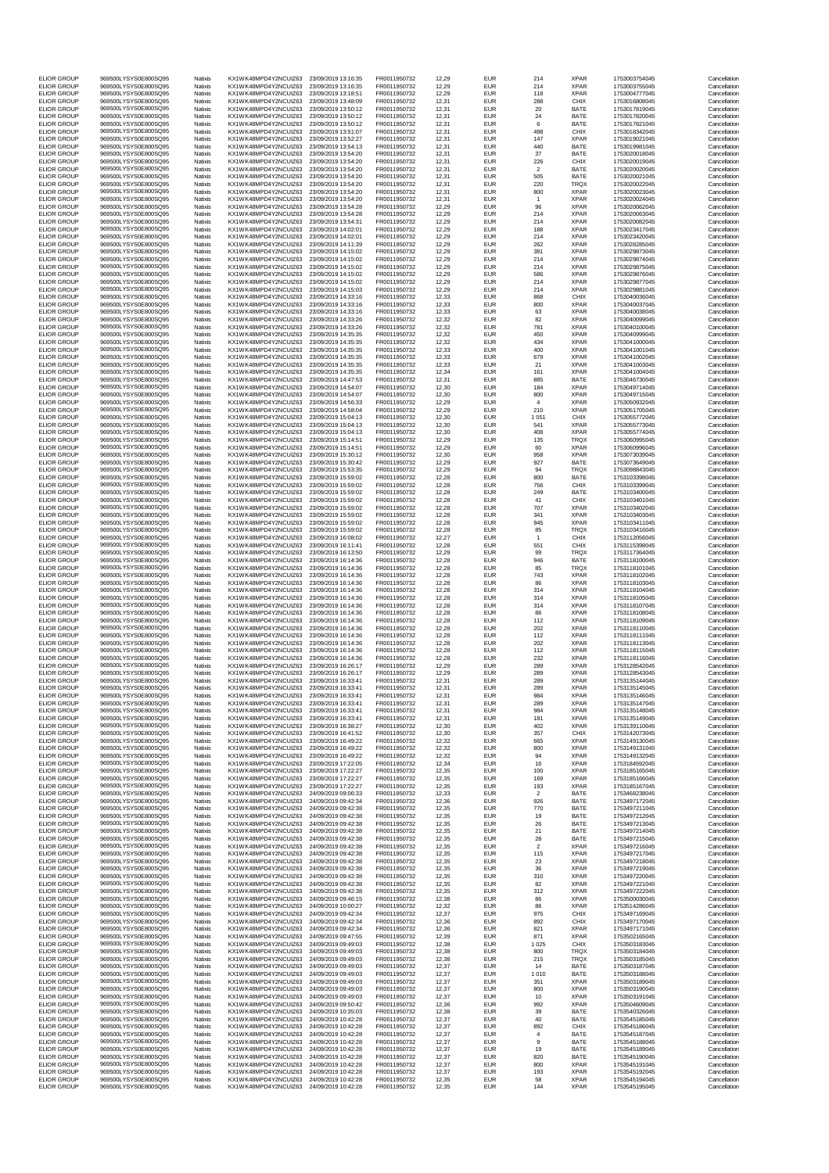| <b>ELIOR GROUP</b>                       | 969500LYSYS0E800SQ95                         | Natixis                   | KX1WK48MPD4Y2NCUIZ63                         | 23/09/2019 13:16:35                        | FR0011950732                 | 12,29          | <b>EUR</b>               | 214                   | <b>XPAR</b>                | 1753003754045                  | Cancellation                 |
|------------------------------------------|----------------------------------------------|---------------------------|----------------------------------------------|--------------------------------------------|------------------------------|----------------|--------------------------|-----------------------|----------------------------|--------------------------------|------------------------------|
| <b>ELIOR GROUP</b><br><b>ELIOR GROUP</b> | 969500LYSYS0E800SQ95<br>969500LYSYS0E800SQ95 | Natixis<br>Natixis        | KX1WK48MPD4Y2NCUIZ63<br>KX1WK48MPD4Y2NCUIZ63 | 23/09/2019 13:16:35<br>23/09/2019 13:18:51 | FR0011950732<br>FR0011950732 | 12,29<br>12,29 | <b>EUR</b><br><b>EUR</b> | 214<br>118            | <b>XPAR</b><br><b>XPAR</b> | 1753003755045<br>1753004777045 | Cancellation<br>Cancellation |
| <b>ELIOR GROUP</b>                       | 969500LYSYS0E800SQ95                         | Natixis                   | KX1WK48MPD4Y2NCUIZ63                         | 23/09/2019 13:48:09                        | FR0011950732                 | 12,31          | <b>EUR</b>               | 288                   | <b>CHIX</b>                | 1753016808045                  | Cancellation                 |
| <b>ELIOR GROUP</b>                       | 969500LYSYS0E800SQ95                         | Natixis                   | KX1WK48MPD4Y2NCUIZ63                         | 23/09/2019 13:50:12                        | FR0011950732                 | 12,31          | <b>EUR</b>               | 20                    | <b>BATE</b>                | 1753017819045                  | Cancellation                 |
| <b>ELIOR GROUP</b><br><b>ELIOR GROUP</b> | 969500LYSYS0E800SQ95<br>969500LYSYS0E800SQ95 | Natixis<br>Natixis        | KX1WK48MPD4Y2NCUIZ63<br>KX1WK48MPD4Y2NCUIZ63 | 23/09/2019 13:50:12<br>23/09/2019 13:50:12 | FR0011950732<br>FR0011950732 | 12,31<br>12,31 | <b>EUR</b><br><b>EUR</b> | 24<br>6               | <b>BATE</b><br><b>BATE</b> | 1753017820045<br>1753017821045 | Cancellation<br>Cancellation |
| <b>ELIOR GROUP</b><br><b>ELIOR GROUP</b> | 969500LYSYS0E800SQ95<br>969500LYSYS0E800SQ95 | Natixis<br>Natixis        | KX1WK48MPD4Y2NCUIZ63<br>KX1WK48MPD4Y2NCUIZ63 | 23/09/2019 13:51:07<br>23/09/2019 13:52:27 | FR0011950732<br>FR0011950732 | 12,31<br>12,31 | <b>EUR</b><br><b>EUR</b> | 498<br>147            | <b>CHIX</b><br><b>XPAR</b> | 1753018342045<br>1753019021045 | Cancellation<br>Cancellation |
| <b>ELIOR GROUP</b>                       | 969500LYSYS0E800SQ95                         | Natixis                   | KX1WK48MPD4Y2NCUIZ63                         | 23/09/2019 13:54:13                        | FR0011950732                 | 12,31          | <b>EUR</b>               | 440                   | <b>BATE</b>                | 1753019981045                  | Cancellation                 |
| <b>ELIOR GROUP</b><br><b>ELIOR GROUP</b> | 969500LYSYS0E800SQ95<br>969500LYSYS0E800SQ95 | Natixis<br>Natixis        | KX1WK48MPD4Y2NCUIZ63<br>KX1WK48MPD4Y2NCUIZ63 | 23/09/2019 13:54:20<br>23/09/2019 13:54:20 | FR0011950732<br>FR0011950732 | 12,31<br>12,31 | <b>EUR</b><br><b>EUR</b> | 37<br>226             | <b>BATE</b><br><b>CHIX</b> | 1753020018045<br>1753020019045 | Cancellation<br>Cancellation |
| <b>ELIOR GROUP</b>                       | 969500LYSYS0E800SQ95                         | Natixis                   | KX1WK48MPD4Y2NCUIZ63                         | 23/09/2019 13:54:20                        | FR0011950732                 | 12,31          | <b>EUR</b>               | $\overline{2}$        | <b>BATE</b>                | 1753020020045                  | Cancellation                 |
| <b>ELIOR GROUP</b><br><b>ELIOR GROUP</b> | 969500LYSYS0E800SQ95<br>969500LYSYS0E800SQ95 | Natixis                   | KX1WK48MPD4Y2NCUIZ63<br>KX1WK48MPD4Y2NCUIZ63 | 23/09/2019 13:54:20                        | FR0011950732<br>FR0011950732 | 12,31<br>12,31 | <b>EUR</b><br><b>EUR</b> | 505<br>220            | <b>BATE</b><br><b>TRQX</b> | 1753020021045<br>1753020022045 | Cancellation<br>Cancellation |
| <b>ELIOR GROUP</b>                       | 969500LYSYS0E800SQ95                         | Natixis<br>Natixis        | KX1WK48MPD4Y2NCUIZ63                         | 23/09/2019 13:54:20<br>23/09/2019 13:54:20 | FR0011950732                 | 12,31          | <b>EUR</b>               | 800                   | <b>XPAR</b>                | 1753020023045                  | Cancellation                 |
| <b>ELIOR GROUP</b>                       | 969500LYSYS0E800SQ95                         | Natixis                   | KX1WK48MPD4Y2NCUIZ63                         | 23/09/2019 13:54:20                        | FR0011950732                 | 12,31          | <b>EUR</b>               |                       | <b>XPAR</b>                | 1753020024045                  | Cancellation                 |
| <b>ELIOR GROUP</b><br><b>ELIOR GROUP</b> | 969500LYSYS0E800SQ95<br>969500LYSYS0E800SQ95 | Natixis<br>Natixis        | KX1WK48MPD4Y2NCUIZ63<br>KX1WK48MPD4Y2NCUIZ63 | 23/09/2019 13:54:28<br>23/09/2019 13:54:28 | FR0011950732<br>FR0011950732 | 12,29<br>12,29 | <b>EUR</b><br><b>EUR</b> | 96<br>214             | <b>XPAR</b><br><b>XPAR</b> | 1753020062045<br>1753020063045 | Cancellation<br>Cancellation |
| <b>ELIOR GROUP</b>                       | 969500LYSYS0E800SQ95<br>969500LYSYS0E800SQ95 | Natixis                   | KX1WK48MPD4Y2NCUIZ63                         | 23/09/2019 13:54:31                        | FR0011950732                 | 12,29          | <b>EUR</b>               | 214                   | <b>XPAR</b>                | 1753020082045                  | Cancellation                 |
| <b>ELIOR GROUP</b><br><b>ELIOR GROUP</b> | 969500LYSYS0E800SQ95                         | Natixis<br>Natixis        | KX1WK48MPD4Y2NCUIZ63<br>KX1WK48MPD4Y2NCUIZ63 | 23/09/2019 14:02:01<br>23/09/2019 14:02:01 | FR0011950732<br>FR0011950732 | 12,29<br>12,29 | <b>EUR</b><br><b>EUR</b> | 188<br>214            | <b>XPAR</b><br><b>XPAR</b> | 1753023417045<br>1753023420045 | Cancellation<br>Cancellation |
| <b>ELIOR GROUP</b><br><b>ELIOR GROUP</b> | 969500LYSYS0E800SQ95<br>969500LYSYS0E800SQ95 | Natixis                   | KX1WK48MPD4Y2NCUIZ63                         | 23/09/2019 14:11:39                        | FR0011950732                 | 12,29          | <b>EUR</b>               | 262                   | <b>XPAR</b>                | 1753028285045                  | Cancellation                 |
| <b>ELIOR GROUP</b>                       | 969500LYSYS0E800SQ95                         | Natixis<br>Natixis        | KX1WK48MPD4Y2NCUIZ63<br>KX1WK48MPD4Y2NCUIZ63 | 23/09/2019 14:15:02<br>23/09/2019 14:15:02 | FR0011950732<br>FR0011950732 | 12,29<br>12,29 | <b>EUR</b><br><b>EUR</b> | 381<br>214            | <b>XPAR</b><br><b>XPAR</b> | 1753029873045<br>1753029874045 | Cancellation<br>Cancellation |
| <b>ELIOR GROUP</b><br><b>ELIOR GROUP</b> | 969500LYSYS0E800SQ95<br>969500LYSYS0E800SQ95 | Natixis<br>Natixis        | KX1WK48MPD4Y2NCUIZ63<br>KX1WK48MPD4Y2NCUIZ63 | 23/09/2019 14:15:02<br>23/09/2019 14:15:02 | FR0011950732<br>FR0011950732 | 12,29<br>12,29 | <b>EUR</b><br><b>EUR</b> | 214<br>586            | <b>XPAR</b><br><b>XPAR</b> | 1753029875045<br>1753029876045 | Cancellation<br>Cancellation |
| <b>ELIOR GROUP</b>                       | 969500LYSYS0E800SQ95                         | Natixis                   | KX1WK48MPD4Y2NCUIZ63                         | 23/09/2019 14:15:02                        | FR0011950732                 | 12,29          | <b>EUR</b>               | 214                   | <b>XPAR</b>                | 1753029877045                  | Cancellation                 |
| <b>ELIOR GROUP</b><br><b>ELIOR GROUP</b> | 969500LYSYS0E800SQ95<br>969500LYSYS0E800SQ95 | Natixis<br>Natixis        | KX1WK48MPD4Y2NCUIZ63<br>KX1WK48MPD4Y2NCUIZ63 | 23/09/2019 14:15:03<br>23/09/2019 14:33:16 | FR0011950732<br>FR0011950732 | 12,29<br>12,33 | <b>EUR</b><br><b>EUR</b> | 214<br>868            | <b>XPAR</b><br><b>CHIX</b> | 1753029881045<br>1753040036045 | Cancellation<br>Cancellation |
| <b>ELIOR GROUP</b>                       | 969500LYSYS0E800SQ95                         | Natixis                   | KX1WK48MPD4Y2NCUIZ63                         | 23/09/2019 14:33:16                        | FR0011950732                 | 12,33          | <b>EUR</b>               | 800                   | <b>XPAR</b>                | 1753040037045                  | Cancellation                 |
| <b>ELIOR GROUP</b><br><b>ELIOR GROUP</b> | 969500LYSYS0E800SQ95<br>969500LYSYS0E800SQ95 | Natixis<br>Natixis        | KX1WK48MPD4Y2NCUIZ63<br>KX1WK48MPD4Y2NCUIZ63 | 23/09/2019 14:33:16<br>23/09/2019 14:33:26 | FR0011950732<br>FR0011950732 | 12,33<br>12,32 | <b>EUR</b><br><b>EUR</b> | 63<br>82              | <b>XPAR</b><br><b>XPAR</b> | 1753040038045<br>1753040099045 | Cancellation<br>Cancellation |
| <b>ELIOR GROUP</b>                       | 969500LYSYS0E800SQ95                         | Natixis                   | KX1WK48MPD4Y2NCUIZ63                         | 23/09/2019 14:33:26                        | FR0011950732                 | 12,32          | <b>EUR</b>               | 781                   | <b>XPAR</b>                | 1753040100045                  | Cancellation                 |
| <b>ELIOR GROUP</b><br><b>ELIOR GROUP</b> | 969500LYSYS0E800SQ95<br>969500LYSYS0E800SQ95 | Natixis<br>Natixis        | KX1WK48MPD4Y2NCUIZ63<br>KX1WK48MPD4Y2NCUIZ63 | 23/09/2019 14:35:35<br>23/09/2019 14:35:35 | FR0011950732<br>FR0011950732 | 12,32<br>12,32 | <b>EUR</b><br><b>EUR</b> | 450<br>434            | <b>XPAR</b><br><b>XPAR</b> | 1753040999045<br>1753041000045 | Cancellation<br>Cancellation |
| <b>ELIOR GROUP</b>                       | 969500LYSYS0E800SQ95                         | Natixis                   | KX1WK48MPD4Y2NCUIZ63                         | 23/09/2019 14:35:35                        | FR0011950732                 | 12,33          | <b>EUR</b>               | 400                   | <b>XPAR</b>                | 1753041001045                  | Cancellation                 |
| <b>ELIOR GROUP</b><br><b>ELIOR GROUP</b> | 969500LYSYS0E800SQ95<br>969500LYSYS0E800SQ95 | Natixis<br>Natixis        | KX1WK48MPD4Y2NCUIZ63<br>KX1WK48MPD4Y2NCUIZ63 | 23/09/2019 14:35:35<br>23/09/2019 14:35:35 | FR0011950732<br>FR0011950732 | 12,33<br>12,33 | <b>EUR</b><br><b>EUR</b> | 679<br>21             | <b>XPAR</b><br><b>XPAR</b> | 1753041002045<br>1753041003045 | Cancellation<br>Cancellation |
| <b>ELIOR GROUP</b>                       | 969500LYSYS0E800SQ95                         | Natixis                   | KX1WK48MPD4Y2NCUIZ63                         | 23/09/2019 14:35:35                        | FR0011950732                 | 12,34          | <b>EUR</b>               | 161                   | <b>XPAR</b>                | 1753041004045                  | Cancellation                 |
| <b>ELIOR GROUP</b><br><b>ELIOR GROUP</b> | 969500LYSYS0E800SQ95<br>969500LYSYS0E800SQ95 | Natixis<br>Natixis        | KX1WK48MPD4Y2NCUIZ63<br>KX1WK48MPD4Y2NCUIZ63 | 23/09/2019 14:47:53<br>23/09/2019 14:54:07 | FR0011950732<br>FR0011950732 | 12,31<br>12,30 | <b>EUR</b><br><b>EUR</b> | 885<br>184            | <b>BATE</b><br><b>XPAR</b> | 1753046730045<br>1753049714045 | Cancellation<br>Cancellation |
| <b>ELIOR GROUP</b>                       | 969500LYSYS0E800SQ95                         | Natixis                   | KX1WK48MPD4Y2NCUIZ63                         | 23/09/2019 14:54:07                        | FR0011950732                 | 12,30          | <b>EUR</b>               | 800                   | <b>XPAR</b>                | 1753049715045                  | Cancellation                 |
| <b>ELIOR GROUP</b><br><b>ELIOR GROUP</b> | 969500LYSYS0E800SQ95<br>969500LYSYS0E800SQ95 | <b>Natixis</b><br>Natixis | KX1WK48MPD4Y2NCUIZ63<br>KX1WK48MPD4Y2NCUIZ63 | 23/09/2019 14:56:33<br>23/09/2019 14:58:04 | FR0011950732<br>FR0011950732 | 12,29<br>12,29 | <b>EUR</b><br><b>EUR</b> | Δ<br>210              | <b>XPAR</b><br><b>XPAR</b> | 1753050932045<br>1753051705045 | Cancellation<br>Cancellation |
| <b>ELIOR GROUP</b>                       | 969500LYSYS0E800SQ95                         | Natixis                   | KX1WK48MPD4Y2NCUIZ63                         | 23/09/2019 15:04:13                        | FR0011950732                 | 12,30          | <b>EUR</b>               | 1 0 5 1               | <b>CHIX</b>                | 1753055772045                  | Cancellation                 |
| <b>ELIOR GROUP</b><br><b>ELIOR GROUP</b> | 969500LYSYS0E800SQ95<br>969500LYSYS0E800SQ95 | Natixis<br>Natixis        | KX1WK48MPD4Y2NCUIZ63<br>KX1WK48MPD4Y2NCUIZ63 | 23/09/2019 15:04:13<br>23/09/2019 15:04:13 | FR0011950732<br>FR0011950732 | 12,30<br>12,30 | <b>EUR</b><br><b>EUR</b> | 541<br>408            | <b>XPAR</b><br><b>XPAR</b> | 1753055773045<br>1753055774045 | Cancellation<br>Cancellation |
| <b>ELIOR GROUP</b>                       | 969500LYSYS0E800SQ95                         | Natixis                   | KX1WK48MPD4Y2NCUIZ63                         | 23/09/2019 15:14:51                        | FR0011950732                 | 12,29          | <b>EUR</b>               | 135                   | <b>TRQX</b>                | 1753060995045                  | Cancellation                 |
| <b>ELIOR GROUP</b><br><b>ELIOR GROUP</b> | 969500LYSYS0E800SQ95<br>969500LYSYS0E800SQ95 | Natixis<br>Natixis        | KX1WK48MPD4Y2NCUIZ63<br>KX1WK48MPD4Y2NCUIZ63 | 23/09/2019 15:14:51<br>23/09/2019 15:30:12 | FR0011950732<br>FR0011950732 | 12,29<br>12,30 | <b>EUR</b><br><b>EUR</b> | 60<br>958             | <b>XPAR</b><br><b>XPAR</b> | 1753060996045<br>1753073039045 | Cancellation<br>Cancellation |
| <b>ELIOR GROUP</b>                       | 969500LYSYS0E800SQ95                         | Natixis                   | KX1WK48MPD4Y2NCUIZ63                         | 23/09/2019 15:30:42                        | FR0011950732                 | 12,29          | <b>EUR</b>               | 927                   | <b>BATE</b>                | 1753073649045                  | Cancellation                 |
| <b>ELIOR GROUP</b><br><b>ELIOR GROUP</b> | 969500LYSYS0E800SQ95<br>969500LYSYS0E800SQ95 | <b>Natixis</b><br>Natixis | KX1WK48MPD4Y2NCUIZ63<br>KX1WK48MPD4Y2NCUIZ63 | 23/09/2019 15:53:35<br>23/09/2019 15:59:02 | FR0011950732<br>FR0011950732 | 12,29<br>12,28 | <b>EUR</b><br><b>EUR</b> | 94<br>800             | <b>TRQX</b><br><b>BATE</b> | 1753098843045<br>1753103398045 | Cancellation<br>Cancellation |
| <b>ELIOR GROUP</b>                       | 969500LYSYS0E800SQ95                         | Natixis                   | KX1WK48MPD4Y2NCUIZ63                         | 23/09/2019 15:59:02                        | FR0011950732                 | 12,28          | <b>EUR</b>               | 756                   | <b>CHIX</b>                | 1753103399045                  | Cancellation                 |
| <b>ELIOR GROUP</b><br><b>ELIOR GROUP</b> | 969500LYSYS0E800SQ95<br>969500LYSYS0E800SQ95 | Natixis<br>Natixis        | KX1WK48MPD4Y2NCUIZ63<br>KX1WK48MPD4Y2NCUIZ63 | 23/09/2019 15:59:02<br>23/09/2019 15:59:02 | FR0011950732<br>FR0011950732 | 12,28<br>12,28 | <b>EUR</b><br><b>EUR</b> | 249<br>41             | <b>BATE</b><br><b>CHIX</b> | 1753103400045<br>1753103401045 | Cancellation<br>Cancellation |
| <b>ELIOR GROUP</b>                       | 969500LYSYS0E800SQ95                         | Natixis                   | KX1WK48MPD4Y2NCUIZ63                         | 23/09/2019 15:59:02                        | FR0011950732                 | 12,28          | <b>EUR</b>               | 707                   | <b>XPAR</b>                | 1753103402045                  | Cancellation                 |
| <b>ELIOR GROUP</b><br><b>ELIOR GROUP</b> | 969500LYSYS0E800SQ95<br>969500LYSYS0E800SQ95 | Natixis<br>Natixis        | KX1WK48MPD4Y2NCUIZ63<br>KX1WK48MPD4Y2NCUIZ63 | 23/09/2019 15:59:02<br>23/09/2019 15:59:02 | FR0011950732<br>FR0011950732 | 12,28<br>12,28 | <b>EUR</b><br><b>EUR</b> | 341<br>945            | <b>XPAR</b><br><b>XPAR</b> | 1753103403045<br>1753103411045 | Cancellation<br>Cancellation |
| <b>ELIOR GROUP</b>                       | 969500LYSYS0E800SQ95                         | Natixis                   | KX1WK48MPD4Y2NCUIZ63                         | 23/09/2019 15:59:02                        | FR0011950732                 | 12,28          | <b>EUR</b>               | 85                    | <b>TRQX</b>                | 1753103416045                  | Cancellation                 |
| <b>ELIOR GROUP</b><br><b>ELIOR GROUP</b> | 969500LYSYS0E800SQ95<br>969500LYSYS0E800SQ95 | Natixis<br><b>Natixis</b> | KX1WK48MPD4Y2NCUIZ63<br>KX1WK48MPD4Y2NCUIZ63 | 23/09/2019 16:08:02<br>23/09/2019 16:11:41 | FR0011950732<br>FR0011950732 | 12,27<br>12,28 | <b>EUR</b><br><b>EUR</b> | 551                   | <b>CHIX</b><br><b>CHIX</b> | 1753112056045<br>1753115398045 | Cancellation<br>Cancellation |
| <b>ELIOR GROUP</b>                       | 969500LYSYS0E800SQ95                         | Natixis                   | KX1WK48MPD4Y2NCUIZ63                         | 23/09/2019 16:13:50                        | FR0011950732                 | 12,29          | <b>EUR</b>               | 99                    | <b>TRQX</b>                | 1753117364045                  | Cancellation                 |
| <b>ELIOR GROUP</b><br><b>ELIOR GROUP</b> | 969500LYSYS0E800SQ95<br>969500LYSYS0E800SQ95 | Natixis<br>Natixis        | KX1WK48MPD4Y2NCUIZ63<br>KX1WK48MPD4Y2NCUIZ63 | 23/09/2019 16:14:36<br>23/09/2019 16:14:36 | FR0011950732<br>FR0011950732 | 12,28<br>12,28 | <b>EUR</b><br><b>EUR</b> | 946<br>85             | <b>BATE</b><br><b>TRQX</b> | 1753118100045<br>1753118101045 | Cancellation<br>Cancellation |
| <b>ELIOR GROUP</b>                       | 969500LYSYS0E800SQ95                         | Natixis                   | KX1WK48MPD4Y2NCUIZ63                         | 23/09/2019 16:14:36                        | FR0011950732                 | 12,28          | <b>EUR</b>               | 743                   | <b>XPAR</b>                | 1753118102045                  | Cancellation                 |
| <b>ELIOR GROUP</b><br><b>ELIOR GROUP</b> | 969500LYSYS0E800SQ95<br>969500LYSYS0E800SQ95 | Natixis<br>Natixis        | KX1WK48MPD4Y2NCUIZ63<br>KX1WK48MPD4Y2NCUIZ63 | 23/09/2019 16:14:36<br>23/09/2019 16:14:36 | FR0011950732<br>FR0011950732 | 12,28<br>12,28 | <b>EUR</b><br><b>EUR</b> | 86<br>314             | <b>XPAR</b><br><b>XPAR</b> | 1753118103045<br>1753118104045 | Cancellation<br>Cancellation |
| <b>ELIOR GROUP</b>                       | 969500LYSYS0E800SQ95                         | Natixis                   | KX1WK48MPD4Y2NCUIZ63                         | 23/09/2019 16:14:36                        | FR0011950732                 | 12,28          | <b>EUR</b>               | 314                   | <b>XPAR</b>                | 1753118105045                  | Cancellation                 |
| <b>ELIOR GROUP</b><br><b>ELIOR GROUP</b> | 969500LYSYS0E800SQ95<br>969500LYSYS0E800SQ95 | Natixis<br>Natixis        | KX1WK48MPD4Y2NCUIZ63<br>KX1WK48MPD4Y2NCUIZ63 | 23/09/2019 16:14:36<br>23/09/2019 16:14:36 | FR0011950732<br>FR0011950732 | 12,28<br>12,28 | <b>EUR</b><br><b>EUR</b> | 314<br>86             | <b>XPAR</b><br><b>XPAR</b> | 1753118107045<br>1753118108045 | Cancellation<br>Cancellation |
| <b>ELIOR GROUP</b>                       | 969500LYSYS0E800SQ95                         | <b>Natixis</b>            | KX1WK48MPD4Y2NCUIZ63                         | 23/09/2019 16:14:36                        | FR0011950732                 | 12,28          | <b>EUR</b>               | 112                   | <b>XPAR</b>                | 1753118109045                  | Cancellation                 |
| <b>ELIOR GROUP</b><br><b>ELIOR GROUP</b> | 969500LYSYS0E800SQ95<br>969500LYSYS0E800SQ95 | Natixis<br>Natixis        | KX1WK48MPD4Y2NCUIZ63<br>KX1WK48MPD4Y2NCUIZ63 | 23/09/2019 16:14:36<br>23/09/2019 16:14:36 | FR0011950732<br>FR0011950732 | 12,28<br>12,28 | <b>EUR</b><br><b>EUR</b> | 202<br>112            | <b>XPAR</b><br><b>XPAR</b> | 1753118110045<br>1753118111045 | Cancellation<br>Cancellation |
| <b>ELIOR GROUP</b>                       | 969500LYSYS0E800SQ95                         | Natixis                   | KX1WK48MPD4Y2NCUIZ63                         | 23/09/2019 16:14:36                        | FR0011950732                 | 12,28          | <b>EUR</b>               | 202                   | <b>XPAR</b>                | 1753118113045                  | Cancellation                 |
| <b>ELIOR GROUP</b><br><b>ELIOR GROUP</b> | 969500LYSYS0E800SQ95<br>969500LYSYS0E800SQ95 | Natixis<br>Natixis        | KX1WK48MPD4Y2NCUIZ63<br>KX1WK48MPD4Y2NCUIZ63 | 23/09/2019 16:14:36<br>23/09/2019 16:14:36 | FR0011950732<br>FR0011950732 | 12,28<br>12,28 | <b>EUR</b><br><b>EUR</b> | 112<br>232            | <b>XPAR</b><br><b>XPAR</b> | 1753118115045<br>1753118116045 | Cancellation<br>Cancellation |
| <b>ELIOR GROUP</b>                       | 969500LYSYS0E800SQ95                         | Natixis                   | KX1WK48MPD4Y2NCUIZ63                         | 23/09/2019 16:26:17                        | FR0011950732                 | 12,29          | <b>EUR</b>               | 289                   | <b>XPAR</b>                | 1753128542045                  | Cancellation                 |
| <b>ELIOR GROUP</b><br><b>ELIOR GROUP</b> | 969500LYSYS0E800SQ95<br>969500LYSYS0E800SQ95 | Natixis<br>Natixis        | KX1WK48MPD4Y2NCUIZ63<br>KX1WK48MPD4Y2NCUIZ63 | 23/09/2019 16:26:17<br>23/09/2019 16:33:41 | FR0011950732<br>FR0011950732 | 12,29<br>12,31 | <b>EUR</b><br><b>EUR</b> | 289<br>289            | <b>XPAR</b><br><b>XPAR</b> | 1753128543045<br>1753135144045 | Cancellation<br>Cancellation |
| <b>ELIOR GROUP</b>                       | 969500LYSYS0E800SQ95                         | Natixis                   | KX1WK48MPD4Y2NCUIZ63                         | 23/09/2019 16:33:41                        | FR0011950732                 | 12,31          | <b>EUR</b>               | 289                   | <b>XPAR</b>                | 1753135145045                  | Cancellation                 |
| <b>ELIOR GROUP</b><br><b>ELIOR GROUP</b> | 969500LYSYS0E800SQ95<br>969500LYSYS0E800SQ95 | Natixis<br>Natixis        | KX1WK48MPD4Y2NCUIZ63<br>KX1WK48MPD4Y2NCUIZ63 | 23/09/2019 16:33:41<br>23/09/2019 16:33:41 | FR0011950732<br>FR0011950732 | 12,31<br>12,31 | <b>EUR</b><br><b>EUR</b> | 984<br>289            | <b>XPAR</b><br><b>XPAR</b> | 1753135146045<br>1753135147045 | Cancellation<br>Cancellation |
| <b>ELIOR GROUP</b>                       | 969500LYSYS0E800SQ95                         | Natixis                   | KX1WK48MPD4Y2NCUIZ63                         | 23/09/2019 16:33:41                        | FR0011950732                 | 12,31          | <b>EUR</b>               | 984                   | <b>XPAR</b>                | 1753135148045                  | Cancellation                 |
| <b>ELIOR GROUP</b><br><b>ELIOR GROUP</b> | 969500LYSYS0E800SQ95<br>969500LYSYS0E800SQ95 | Natixis<br>Natixis        | KX1WK48MPD4Y2NCUIZ63<br>KX1WK48MPD4Y2NCUIZ63 | 23/09/2019 16:33:41<br>23/09/2019 16:38:27 | FR0011950732<br>FR0011950732 | 12,31<br>12,30 | <b>EUR</b><br><b>EUR</b> | 181<br>402            | <b>XPAR</b><br><b>XPAR</b> | 1753135149045<br>1753139110045 | Cancellation<br>Cancellation |
| <b>ELIOR GROUP</b>                       | 969500LYSYS0E800SQ95                         | <b>Natixis</b>            | KX1WK48MPD4Y2NCUIZ63                         | 23/09/2019 16:41:52                        | FR0011950732                 | 12,30          | <b>EUR</b>               | 357                   | <b>CHIX</b>                | 1753142073045                  | Cancellation                 |
| <b>ELIOR GROUP</b><br><b>ELIOR GROUP</b> | 969500LYSYS0E800SQ95<br>969500LYSYS0E800SQ95 | Natixis<br>Natixis        | KX1WK48MPD4Y2NCUIZ63<br>KX1WK48MPD4Y2NCUIZ63 | 23/09/2019 16:49:22<br>23/09/2019 16:49:22 | FR0011950732<br>FR0011950732 | 12,32<br>12,32 | <b>EUR</b><br><b>EUR</b> | 665<br>800            | <b>XPAR</b><br><b>XPAR</b> | 1753149130045<br>1753149131045 | Cancellation<br>Cancellation |
| <b>ELIOR GROUP</b>                       | 969500LYSYS0E800SQ95                         | Natixis                   | KX1WK48MPD4Y2NCUIZ63                         | 23/09/2019 16:49:22                        | FR0011950732                 | 12,32          | <b>EUR</b>               | 94                    | <b>XPAR</b>                | 1753149132045                  | Cancellation                 |
| <b>ELIOR GROUP</b><br><b>ELIOR GROUP</b> | 969500LYSYS0E800SQ95<br>969500LYSYS0E800SQ95 | Natixis<br>Natixis        | KX1WK48MPD4Y2NCUIZ63<br>KX1WK48MPD4Y2NCUIZ63 | 23/09/2019 17:22:05<br>23/09/2019 17:22:27 | FR0011950732<br>FR0011950732 | 12,34<br>12,35 | <b>EUR</b><br><b>EUR</b> | 16<br>100             | <b>XPAR</b><br><b>XPAR</b> | 1753184592045<br>1753185165045 | Cancellation<br>Cancellation |
| <b>ELIOR GROUP</b>                       | 969500LYSYS0E800SQ95                         | Natixis                   | KX1WK48MPD4Y2NCUIZ63                         | 23/09/2019 17:22:27                        | FR0011950732                 | 12,35          | <b>EUR</b>               | 169                   | <b>XPAR</b>                | 1753185166045                  | Cancellation                 |
| <b>ELIOR GROUP</b><br><b>ELIOR GROUP</b> | 969500LYSYS0E800SQ95<br>969500LYSYS0E800SQ95 | Natixis<br>Natixis        | KX1WK48MPD4Y2NCUIZ63<br>KX1WK48MPD4Y2NCUIZ63 | 23/09/2019 17:22:27<br>24/09/2019 09:06:33 | FR0011950732<br>FR0011950732 | 12,35<br>12,33 | <b>EUR</b><br><b>EUR</b> | 193<br>2              | <b>XPAR</b><br><b>BATE</b> | 1753185167045<br>1753468238045 | Cancellation<br>Cancellation |
| <b>ELIOR GROUP</b>                       | 969500LYSYS0E800SQ95                         | Natixis                   | KX1WK48MPD4Y2NCUIZ63                         | 24/09/2019 09:42:34                        | FR0011950732                 | 12,36          | <b>EUR</b>               | 926                   | <b>BATE</b>                | 1753497172045                  | Cancellation                 |
| <b>ELIOR GROUP</b><br><b>ELIOR GROUP</b> | 969500LYSYS0E800SQ95<br>969500LYSYS0E800SQ95 | Natixis<br>Natixis        | KX1WK48MPD4Y2NCUIZ63<br>KX1WK48MPD4Y2NCUIZ63 | 24/09/2019 09:42:38<br>24/09/2019 09:42:38 | FR0011950732<br>FR0011950732 | 12,35<br>12,35 | <b>EUR</b><br><b>EUR</b> | 770<br>19             | <b>BATE</b><br><b>BATE</b> | 1753497211045<br>1753497212045 | Cancellation<br>Cancellation |
| <b>ELIOR GROUP</b><br><b>ELIOR GROUP</b> | 969500LYSYS0E800SQ95<br>969500LYSYS0E800SQ95 | Natixis<br>Natixis        | KX1WK48MPD4Y2NCUIZ63<br>KX1WK48MPD4Y2NCUIZ63 | 24/09/2019 09:42:38<br>24/09/2019 09:42:38 | FR0011950732<br>FR0011950732 | 12,35<br>12,35 | <b>EUR</b><br><b>EUR</b> | 26<br>21              | <b>BATE</b><br><b>BATE</b> | 1753497213045<br>1753497214045 | Cancellation<br>Cancellation |
| <b>ELIOR GROUP</b>                       | 969500LYSYS0E800SQ95                         | Natixis                   | KX1WK48MPD4Y2NCUIZ63                         | 24/09/2019 09:42:38                        | FR0011950732                 | 12,35          | <b>EUR</b>               | 28                    | <b>BATE</b>                | 1753497215045                  | Cancellation                 |
| <b>ELIOR GROUP</b><br><b>ELIOR GROUP</b> | 969500LYSYS0E800SQ95<br>969500LYSYS0E800SQ95 | Natixis<br>Natixis        | KX1WK48MPD4Y2NCUIZ63<br>KX1WK48MPD4Y2NCUIZ63 | 24/09/2019 09:42:38<br>24/09/2019 09:42:38 | FR0011950732<br>FR0011950732 | 12,35<br>12,35 | <b>EUR</b><br><b>EUR</b> | $\overline{2}$<br>115 | <b>XPAR</b><br><b>XPAR</b> | 1753497216045<br>1753497217045 | Cancellation<br>Cancellation |
| <b>ELIOR GROUP</b>                       | 969500LYSYS0E800SQ95                         | Natixis                   | KX1WK48MPD4Y2NCUIZ63                         | 24/09/2019 09:42:38                        | FR0011950732                 | 12,35          | <b>EUR</b>               | 23                    | <b>XPAR</b>                | 1753497218045                  | Cancellation                 |
| <b>ELIOR GROUP</b><br><b>ELIOR GROUP</b> | 969500LYSYS0E800SQ95<br>969500LYSYS0E800SQ95 | Natixis<br>Natixis        | KX1WK48MPD4Y2NCUIZ63<br>KX1WK48MPD4Y2NCUIZ63 | 24/09/2019 09:42:38<br>24/09/2019 09:42:38 | FR0011950732<br>FR0011950732 | 12,35<br>12,35 | <b>EUR</b><br><b>EUR</b> | 36<br>310             | <b>XPAR</b><br><b>XPAR</b> | 1753497219045<br>1753497220045 | Cancellation<br>Cancellation |
| <b>ELIOR GROUP</b>                       | 969500LYSYS0E800SQ95                         | Natixis                   | KX1WK48MPD4Y2NCUIZ63                         | 24/09/2019 09:42:38                        | FR0011950732                 | 12,35          | <b>EUR</b>               | 82                    | <b>XPAR</b>                | 1753497221045                  | Cancellation                 |
| <b>ELIOR GROUP</b>                       | 969500LYSYS0E800SQ95                         | Natixis                   | KX1WK48MPD4Y2NCUIZ63                         | 24/09/2019 09:42:38                        | FR0011950732                 | 12,35          | <b>EUR</b>               | 312                   | <b>XPAR</b>                | 1753497222045                  | Cancellation                 |
| <b>ELIOR GROUP</b><br><b>ELIOR GROUP</b> | 969500LYSYS0E800SQ95<br>969500LYSYS0E800SQ95 | Natixis<br>Natixis        | KX1WK48MPD4Y2NCUIZ63<br>KX1WK48MPD4Y2NCUIZ63 | 24/09/2019 09:46:15<br>24/09/2019 10:00:27 | FR0011950732<br>FR0011950732 | 12,38<br>12,32 | <b>EUR</b><br><b>EUR</b> | 86<br>86              | <b>XPAR</b><br><b>XPAR</b> | 1753500030045<br>1753514286045 | Cancellation<br>Cancellation |
| <b>ELIOR GROUP</b><br><b>ELIOR GROUP</b> | 969500LYSYS0E800SQ95<br>969500LYSYS0E800SQ95 | Natixis                   | KX1WK48MPD4Y2NCUIZ63                         | 24/09/2019 09:42:34                        | FR0011950732                 | 12,37          | <b>EUR</b>               | 975                   | <b>CHIX</b>                | 1753497169045<br>1753497170045 | Cancellation                 |
| <b>ELIOR GROUP</b>                       | 969500LYSYS0E800SQ95                         | Natixis<br>Natixis        | KX1WK48MPD4Y2NCUIZ63<br>KX1WK48MPD4Y2NCUIZ63 | 24/09/2019 09:42:34<br>24/09/2019 09:42:34 | FR0011950732<br>FR0011950732 | 12,36<br>12,36 | <b>EUR</b><br><b>EUR</b> | 892<br>821            | <b>CHIX</b><br><b>XPAR</b> | 1753497171045                  | Cancellation<br>Cancellation |
| <b>ELIOR GROUP</b><br><b>ELIOR GROUP</b> | 969500LYSYS0E800SQ95<br>969500LYSYS0E800SQ95 | Natixis<br>Natixis        | KX1WK48MPD4Y2NCUIZ63<br>KX1WK48MPD4Y2NCUIZ63 | 24/09/2019 09:47:55<br>24/09/2019 09:49:03 | FR0011950732<br>FR0011950732 | 12,39<br>12,38 | <b>EUR</b><br><b>EUR</b> | 871<br>1 0 2 5        | <b>XPAR</b><br><b>CHIX</b> | 1753502165045<br>1753503183045 | Cancellation<br>Cancellation |
| <b>ELIOR GROUP</b>                       | 969500LYSYS0E800SQ95                         | Natixis                   | KX1WK48MPD4Y2NCUIZ63                         | 24/09/2019 09:49:03                        | FR0011950732                 | 12,38          | <b>EUR</b>               | 800                   | <b>TRQX</b>                | 1753503184045                  | Cancellation                 |
| <b>ELIOR GROUP</b><br><b>ELIOR GROUP</b> | 969500LYSYS0E800SQ95<br>969500LYSYS0E800SQ95 | Natixis<br>Natixis        | KX1WK48MPD4Y2NCUIZ63<br>KX1WK48MPD4Y2NCUIZ63 | 24/09/2019 09:49:03<br>24/09/2019 09:49:03 | FR0011950732<br>FR0011950732 | 12,38<br>12,37 | <b>EUR</b><br><b>EUR</b> | 215<br>14             | <b>TRQX</b><br><b>BATE</b> | 1753503185045<br>1753503187045 | Cancellation<br>Cancellation |
| <b>ELIOR GROUP</b>                       | 969500LYSYS0E800SQ95                         | Natixis                   | KX1WK48MPD4Y2NCUIZ63                         | 24/09/2019 09:49:03                        | FR0011950732                 | 12,37          | <b>EUR</b>               | 1 0 1 0               | <b>BATE</b>                | 1753503188045                  | Cancellation                 |
| <b>ELIOR GROUP</b><br><b>ELIOR GROUP</b> | 969500LYSYS0E800SQ95<br>969500LYSYS0E800SQ95 | Natixis<br>Natixis        | KX1WK48MPD4Y2NCUIZ63<br>KX1WK48MPD4Y2NCUIZ63 | 24/09/2019 09:49:03<br>24/09/2019 09:49:03 | FR0011950732<br>FR0011950732 | 12,37<br>12,37 | <b>EUR</b><br><b>EUR</b> | 351<br>800            | <b>XPAR</b><br><b>XPAR</b> | 1753503189045<br>1753503190045 | Cancellation<br>Cancellation |
| <b>ELIOR GROUP</b>                       | 969500LYSYS0E800SQ95                         | Natixis                   | KX1WK48MPD4Y2NCUIZ63                         | 24/09/2019 09:49:03                        | FR0011950732                 | 12,37          | <b>EUR</b>               | 10                    | <b>XPAR</b>                | 1753503191045                  | Cancellation                 |
| <b>ELIOR GROUP</b><br><b>ELIOR GROUP</b> | 969500LYSYS0E800SQ95<br>969500LYSYS0E800SQ95 | Natixis<br>Natixis        | KX1WK48MPD4Y2NCUIZ63<br>KX1WK48MPD4Y2NCUIZ63 | 24/09/2019 09:50:42<br>24/09/2019 10:35:03 | FR0011950732<br>FR0011950732 | 12,36<br>12,38 | <b>EUR</b><br><b>EUR</b> | 992<br>39             | <b>XPAR</b><br><b>BATE</b> | 1753504609045<br>1753540326045 | Cancellation<br>Cancellation |
| <b>ELIOR GROUP</b>                       | 969500LYSYS0E800SQ95                         | Natixis                   | KX1WK48MPD4Y2NCUIZ63                         | 24/09/2019 10:42:28                        | FR0011950732                 | 12,37          | <b>EUR</b>               | 40                    | <b>BATE</b>                | 1753545185045                  | Cancellation                 |
| <b>ELIOR GROUP</b><br><b>ELIOR GROUP</b> | 969500LYSYS0E800SQ95<br>969500LYSYS0E800SQ95 | Natixis<br>Natixis        | KX1WK48MPD4Y2NCUIZ63<br>KX1WK48MPD4Y2NCUIZ63 | 24/09/2019 10:42:28<br>24/09/2019 10:42:28 | FR0011950732<br>FR0011950732 | 12,37<br>12,37 | <b>EUR</b><br><b>EUR</b> | 892                   | <b>CHIX</b><br><b>BATE</b> | 1753545186045<br>1753545187045 | Cancellation<br>Cancellation |
| <b>ELIOR GROUP</b>                       | 969500LYSYS0E800SQ95                         | Natixis                   | KX1WK48MPD4Y2NCUIZ63                         | 24/09/2019 10:42:28                        | FR0011950732                 | 12,37          | <b>EUR</b>               | 9                     | <b>BATE</b>                | 1753545188045                  | Cancellation                 |
| <b>ELIOR GROUP</b><br><b>ELIOR GROUP</b> | 969500LYSYS0E800SQ95<br>969500LYSYS0E800SQ95 | Natixis<br>Natixis        | KX1WK48MPD4Y2NCUIZ63<br>KX1WK48MPD4Y2NCUIZ63 | 24/09/2019 10:42:28<br>24/09/2019 10:42:28 | FR0011950732<br>FR0011950732 | 12,37<br>12,37 | <b>EUR</b><br><b>EUR</b> | 19<br>820             | <b>BATE</b><br><b>BATE</b> | 1753545189045<br>1753545190045 | Cancellation<br>Cancellation |
| <b>ELIOR GROUP</b>                       | 969500LYSYS0E800SQ95                         | Natixis                   | KX1WK48MPD4Y2NCUIZ63                         | 24/09/2019 10:42:28                        | FR0011950732                 | 12,37          | <b>EUR</b>               | 800                   | <b>XPAR</b>                | 1753545191045                  | Cancellation                 |
| <b>ELIOR GROUP</b><br><b>ELIOR GROUP</b> | 969500LYSYS0E800SQ95<br>969500LYSYS0E800SQ95 | Natixis<br>Natixis        | KX1WK48MPD4Y2NCUIZ63<br>KX1WK48MPD4Y2NCUIZ63 | 24/09/2019 10:42:28<br>24/09/2019 10:42:28 | FR0011950732<br>FR0011950732 | 12,37<br>12,35 | <b>EUR</b><br><b>EUR</b> | 193<br>58             | <b>XPAR</b><br><b>XPAR</b> | 1753545192045<br>1753545194045 | Cancellation<br>Cancellation |
| <b>ELIOR GROUP</b>                       | 969500LYSYS0E800SQ95                         | Natixis                   | KX1WK48MPD4Y2NCUIZ63                         | 24/09/2019 10:42:28                        | FR0011950732                 | 12,35          | <b>EUR</b>               | 144                   | <b>XPAR</b>                | 1753545195045                  | Cancellation                 |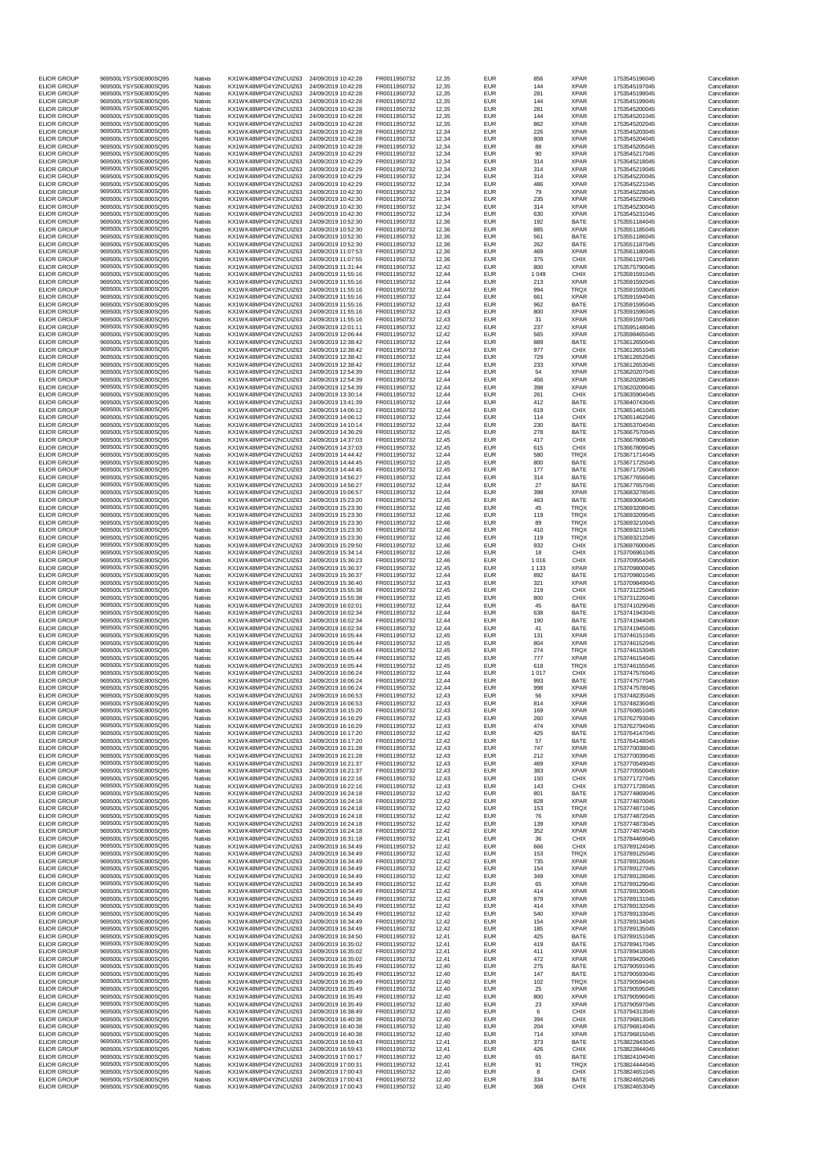| <b>ELIOR GROUP</b>                       | 969500LYSYS0E800SQ95                         | Natixis                   | KX1WK48MPD4Y2NCUIZ63                         | 24/09/2019 10:42:28                        | FR0011950732                 | 12,35          | <b>EUR</b>               | 856                | <b>XPAR</b>                | 1753545196045                  | Cancellation                 |
|------------------------------------------|----------------------------------------------|---------------------------|----------------------------------------------|--------------------------------------------|------------------------------|----------------|--------------------------|--------------------|----------------------------|--------------------------------|------------------------------|
| <b>ELIOR GROUP</b><br><b>ELIOR GROUP</b> | 969500LYSYS0E800SQ95<br>969500LYSYS0E800SQ95 | Natixis<br>Natixis        | KX1WK48MPD4Y2NCUIZ63<br>KX1WK48MPD4Y2NCUIZ63 | 24/09/2019 10:42:28<br>24/09/2019 10:42:28 | FR0011950732<br>FR0011950732 | 12,35<br>12,35 | <b>EUR</b><br><b>EUR</b> | 144<br>281         | <b>XPAR</b><br><b>XPAR</b> | 1753545197045<br>1753545198045 | Cancellation<br>Cancellation |
| <b>ELIOR GROUP</b>                       | 969500LYSYS0E800SQ95                         | Natixis                   | KX1WK48MPD4Y2NCUIZ63                         | 24/09/2019 10:42:28                        | FR0011950732                 | 12,35          | <b>EUR</b>               | 144                | <b>XPAR</b>                | 1753545199045                  | Cancellation                 |
| <b>ELIOR GROUP</b>                       | 969500LYSYS0E800SQ95                         | Natixis                   | KX1WK48MPD4Y2NCUIZ63                         | 24/09/2019 10:42:28                        | FR0011950732                 | 12,35          | <b>EUR</b>               | 281                | <b>XPAR</b>                | 1753545200045                  | Cancellation                 |
| <b>ELIOR GROUP</b><br><b>ELIOR GROUP</b> | 969500LYSYS0E800SQ95<br>969500LYSYS0E800SQ95 | Natixis<br>Natixis        | KX1WK48MPD4Y2NCUIZ63<br>KX1WK48MPD4Y2NCUIZ63 | 24/09/2019 10:42:28<br>24/09/2019 10:42:28 | FR0011950732<br>FR0011950732 | 12,35<br>12,35 | <b>EUR</b><br><b>EUR</b> | 144<br>862         | <b>XPAR</b><br><b>XPAR</b> | 1753545201045<br>1753545202045 | Cancellation<br>Cancellation |
| <b>ELIOR GROUP</b><br><b>ELIOR GROUP</b> | 969500LYSYS0E800SQ95<br>969500LYSYS0E800SQ95 | Natixis<br>Natixis        | KX1WK48MPD4Y2NCUIZ63<br>KX1WK48MPD4Y2NCUIZ63 | 24/09/2019 10:42:28<br>24/09/2019 10:42:28 | FR0011950732<br>FR0011950732 | 12,34<br>12,34 | <b>EUR</b><br><b>EUR</b> | 226<br>808         | <b>XPAR</b><br><b>XPAR</b> | 1753545203045<br>1753545204045 | Cancellation<br>Cancellation |
| <b>ELIOR GROUP</b>                       | 969500LYSYS0E800SQ95                         | Natixis                   | KX1WK48MPD4Y2NCUIZ63                         | 24/09/2019 10:42:28                        | FR0011950732                 | 12,34          | <b>EUR</b>               | 88                 | <b>XPAR</b>                | 1753545205045                  | Cancellation                 |
| <b>ELIOR GROUP</b><br><b>ELIOR GROUP</b> | 969500LYSYS0E800SQ95<br>969500LYSYS0E800SQ95 | Natixis<br>Natixis        | KX1WK48MPD4Y2NCUIZ63<br>KX1WK48MPD4Y2NCUIZ63 | 24/09/2019 10:42:29<br>24/09/2019 10:42:29 | FR0011950732<br>FR0011950732 | 12,34<br>12,34 | <b>EUR</b><br><b>EUR</b> | 90<br>314          | <b>XPAR</b><br><b>XPAR</b> | 1753545217045<br>1753545218045 | Cancellation<br>Cancellation |
| <b>ELIOR GROUP</b>                       | 969500LYSYS0E800SQ95                         | Natixis                   | KX1WK48MPD4Y2NCUIZ63                         | 24/09/2019 10:42:29                        | FR0011950732                 | 12,34          | <b>EUR</b>               | 314                | <b>XPAR</b>                | 1753545219045                  | Cancellation                 |
| <b>ELIOR GROUP</b><br><b>ELIOR GROUP</b> | 969500LYSYS0E800SQ95                         | Natixis                   | KX1WK48MPD4Y2NCUIZ63                         | 24/09/2019 10:42:29                        | FR0011950732                 | 12,34          | <b>EUR</b>               | 314                | <b>XPAR</b>                | 1753545220045                  | Cancellation                 |
| <b>ELIOR GROUP</b>                       | 969500LYSYS0E800SQ95<br>969500LYSYS0E800SQ95 | Natixis<br>Natixis        | KX1WK48MPD4Y2NCUIZ63<br>KX1WK48MPD4Y2NCUIZ63 | 24/09/2019 10:42:29<br>24/09/2019 10:42:30 | FR0011950732<br>FR0011950732 | 12,34<br>12,34 | <b>EUR</b><br><b>EUR</b> | 486<br>79          | <b>XPAR</b><br><b>XPAR</b> | 1753545221045<br>1753545228045 | Cancellation<br>Cancellation |
| <b>ELIOR GROUP</b>                       | 969500LYSYS0E800SQ95                         | Natixis                   | KX1WK48MPD4Y2NCUIZ63                         | 24/09/2019 10:42:30                        | FR0011950732                 | 12,34          | <b>EUR</b>               | 235                | <b>XPAR</b>                | 1753545229045                  | Cancellation                 |
| <b>ELIOR GROUP</b><br><b>ELIOR GROUP</b> | 969500LYSYS0E800SQ95<br>969500LYSYS0E800SQ95 | Natixis<br>Natixis        | KX1WK48MPD4Y2NCUIZ63<br>KX1WK48MPD4Y2NCUIZ63 | 24/09/2019 10:42:30<br>24/09/2019 10:42:30 | FR0011950732<br>FR0011950732 | 12,34<br>12,34 | <b>EUR</b><br><b>EUR</b> | 314<br>630         | <b>XPAR</b><br><b>XPAR</b> | 1753545230045<br>1753545231045 | Cancellation<br>Cancellation |
| <b>ELIOR GROUP</b>                       | 969500LYSYS0E800SQ95                         | Natixis                   | KX1WK48MPD4Y2NCUIZ63                         | 24/09/2019 10:52:30                        | FR0011950732                 | 12,36          | <b>EUR</b>               | 192                | <b>BATE</b>                | 1753551184045                  | Cancellation                 |
| <b>ELIOR GROUP</b><br><b>ELIOR GROUP</b> | 969500LYSYS0E800SQ95<br>969500LYSYS0E800SQ95 | Natixis<br>Natixis        | KX1WK48MPD4Y2NCUIZ63<br>KX1WK48MPD4Y2NCUIZ63 | 24/09/2019 10:52:30<br>24/09/2019 10:52:30 | FR0011950732<br>FR0011950732 | 12,36<br>12,36 | <b>EUR</b><br><b>EUR</b> | 885<br>561         | <b>XPAR</b><br><b>BATE</b> | 1753551185045<br>1753551186045 | Cancellation<br>Cancellation |
| <b>ELIOR GROUP</b><br><b>ELIOR GROUP</b> | 969500LYSYS0E800SQ95<br>969500LYSYS0E800SQ95 | Natixis                   | KX1WK48MPD4Y2NCUIZ63<br>KX1WK48MPD4Y2NCUIZ63 | 24/09/2019 10:52:30                        | FR0011950732                 | 12,36<br>12,36 | <b>EUR</b><br><b>EUR</b> | 262<br>469         | <b>BATE</b><br><b>XPAR</b> | 1753551187045<br>1753561180045 | Cancellation<br>Cancellation |
| <b>ELIOR GROUP</b>                       | 969500LYSYS0E800SQ95                         | Natixis<br>Natixis        | KX1WK48MPD4Y2NCUIZ63                         | 24/09/2019 11:07:53<br>24/09/2019 11:07:55 | FR0011950732<br>FR0011950732 | 12,36          | <b>EUR</b>               | 375                | <b>CHIX</b>                | 1753561197045                  | Cancellation                 |
| <b>ELIOR GROUP</b><br><b>ELIOR GROUP</b> | 969500LYSYS0E800SQ95<br>969500LYSYS0E800SQ95 | Natixis<br>Natixis        | KX1WK48MPD4Y2NCUIZ63<br>KX1WK48MPD4Y2NCUIZ63 | 24/09/2019 11:31:44<br>24/09/2019 11:55:16 | FR0011950732<br>FR0011950732 | 12,42<br>12,44 | <b>EUR</b><br><b>EUR</b> | 800<br>1 0 4 9     | <b>XPAR</b><br><b>CHIX</b> | 1753575790045<br>1753591591045 | Cancellation<br>Cancellation |
| <b>ELIOR GROUP</b>                       | 969500LYSYS0E800SQ95                         | Natixis                   | KX1WK48MPD4Y2NCUIZ63                         | 24/09/2019 11:55:16                        | FR0011950732                 | 12,44          | <b>EUR</b>               | 213                | <b>XPAR</b>                | 1753591592045                  | Cancellation                 |
| <b>ELIOR GROUP</b><br><b>ELIOR GROUP</b> | 969500LYSYS0E800SQ95<br>969500LYSYS0E800SQ95 | Natixis<br>Natixis        | KX1WK48MPD4Y2NCUIZ63<br>KX1WK48MPD4Y2NCUIZ63 | 24/09/2019 11:55:16<br>24/09/2019 11:55:16 | FR0011950732<br>FR0011950732 | 12,44<br>12,44 | <b>EUR</b><br><b>EUR</b> | 994<br>661         | <b>TRQX</b><br><b>XPAR</b> | 1753591593045<br>1753591594045 | Cancellation<br>Cancellation |
| <b>ELIOR GROUP</b>                       | 969500LYSYS0E800SQ95                         | Natixis                   | KX1WK48MPD4Y2NCUIZ63                         | 24/09/2019 11:55:16                        | FR0011950732                 | 12,43          | <b>EUR</b>               | 962                | <b>BATE</b>                | 1753591595045                  | Cancellation                 |
| <b>ELIOR GROUP</b><br><b>ELIOR GROUP</b> | 969500LYSYS0E800SQ95<br>969500LYSYS0E800SQ95 | Natixis<br>Natixis        | KX1WK48MPD4Y2NCUIZ63<br>KX1WK48MPD4Y2NCUIZ63 | 24/09/2019 11:55:16<br>24/09/2019 11:55:16 | FR0011950732<br>FR0011950732 | 12,43<br>12,43 | <b>EUR</b><br><b>EUR</b> | 800<br>31          | <b>XPAR</b><br><b>XPAR</b> | 1753591596045<br>1753591597045 | Cancellation<br>Cancellation |
| <b>ELIOR GROUP</b>                       | 969500LYSYS0E800SQ95                         | Natixis                   | KX1WK48MPD4Y2NCUIZ63                         | 24/09/2019 12:01:11                        | FR0011950732                 | 12,42          | <b>EUR</b>               | 237                | <b>XPAR</b>                | 1753595148045                  | Cancellation                 |
| <b>ELIOR GROUP</b><br><b>ELIOR GROUP</b> | 969500LYSYS0E800SQ95<br>969500LYSYS0E800SQ95 | Natixis<br>Natixis        | KX1WK48MPD4Y2NCUIZ63<br>KX1WK48MPD4Y2NCUIZ63 | 24/09/2019 12:06:44<br>24/09/2019 12:38:42 | FR0011950732<br>FR0011950732 | 12,42<br>12,44 | <b>EUR</b><br><b>EUR</b> | 565<br>889         | <b>XPAR</b><br><b>BATE</b> | 1753598465045<br>1753612650045 | Cancellation<br>Cancellation |
| <b>ELIOR GROUP</b>                       | 969500LYSYS0E800SQ95                         | Natixis                   | KX1WK48MPD4Y2NCUIZ63                         | 24/09/2019 12:38:42                        | FR0011950732                 | 12,44          | <b>EUR</b>               | 977                | <b>CHIX</b>                | 1753612651045                  | Cancellation                 |
| <b>ELIOR GROUP</b><br><b>ELIOR GROUP</b> | 969500LYSYS0E800SQ95<br>969500LYSYS0E800SQ95 | Natixis<br>Natixis        | KX1WK48MPD4Y2NCUIZ63<br>KX1WK48MPD4Y2NCUIZ63 | 24/09/2019 12:38:42<br>24/09/2019 12:38:42 | FR0011950732<br>FR0011950732 | 12,44<br>12,44 | <b>EUR</b><br><b>EUR</b> | 729<br>233         | <b>XPAR</b><br><b>XPAR</b> | 1753612652045<br>1753612653045 | Cancellation<br>Cancellation |
| <b>ELIOR GROUP</b>                       | 969500LYSYS0E800SQ95                         | Natixis                   | KX1WK48MPD4Y2NCUIZ63                         | 24/09/2019 12:54:39                        | FR0011950732                 | 12,44          | <b>EUR</b>               | 54                 | <b>XPAR</b>                | 1753620207045                  | Cancellation                 |
| <b>ELIOR GROUP</b><br><b>ELIOR GROUP</b> | 969500LYSYS0E800SQ95<br>969500LYSYS0E800SQ95 | Natixis<br>Natixis        | KX1WK48MPD4Y2NCUIZ63<br>KX1WK48MPD4Y2NCUIZ63 | 24/09/2019 12:54:39<br>24/09/2019 12:54:39 | FR0011950732<br>FR0011950732 | 12,44<br>12,44 | <b>EUR</b><br><b>EUR</b> | 456<br>398         | <b>XPAR</b><br><b>XPAR</b> | 1753620208045<br>1753620209045 | Cancellation<br>Cancellation |
| <b>ELIOR GROUP</b>                       | 969500LYSYS0E800SQ95                         | Natixis                   | KX1WK48MPD4Y2NCUIZ63                         | 24/09/2019 13:30:14                        | FR0011950732                 | 12,44          | <b>EUR</b>               | 261                | <b>CHIX</b>                | 1753635904045                  | Cancellation                 |
| <b>ELIOR GROUP</b><br><b>ELIOR GROUP</b> | 969500LYSYS0E800SQ95<br>969500LYSYS0E800SQ95 | <b>Natixis</b><br>Natixis | KX1WK48MPD4Y2NCUIZ63<br>KX1WK48MPD4Y2NCUIZ63 | 24/09/2019 13:41:39<br>24/09/2019 14:06:12 | FR0011950732<br>FR0011950732 | 12,44<br>12,44 | <b>EUR</b><br><b>EUR</b> | 412<br>619         | <b>BATE</b><br><b>CHIX</b> | 1753640743045<br>1753651461045 | Cancellation<br>Cancellation |
| <b>ELIOR GROUP</b>                       | 969500LYSYS0E800SQ95                         | Natixis                   | KX1WK48MPD4Y2NCUIZ63                         | 24/09/2019 14:06:12                        | FR0011950732                 | 12,44          | <b>EUR</b>               | 114                | <b>CHIX</b>                | 1753651462045                  | Cancellation                 |
| <b>ELIOR GROUP</b><br><b>ELIOR GROUP</b> | 969500LYSYS0E800SQ95<br>969500LYSYS0E800SQ95 | Natixis<br>Natixis        | KX1WK48MPD4Y2NCUIZ63<br>KX1WK48MPD4Y2NCUIZ63 | 24/09/2019 14:10:14<br>24/09/2019 14:36:29 | FR0011950732<br>FR0011950732 | 12,44<br>12,45 | <b>EUR</b><br><b>EUR</b> | 230<br>278         | <b>BATE</b><br><b>BATE</b> | 1753653704045<br>1753667570045 | Cancellation<br>Cancellation |
| <b>ELIOR GROUP</b>                       | 969500LYSYS0E800SQ95                         | Natixis                   | KX1WK48MPD4Y2NCUIZ63                         | 24/09/2019 14:37:03                        | FR0011950732                 | 12,45          | <b>EUR</b>               | 417                | <b>CHIX</b>                | 1753667808045                  | Cancellation                 |
| <b>ELIOR GROUP</b><br><b>ELIOR GROUP</b> | 969500LYSYS0E800SQ95<br>969500LYSYS0E800SQ95 | Natixis                   | KX1WK48MPD4Y2NCUIZ63<br>KX1WK48MPD4Y2NCUIZ63 | 24/09/2019 14:37:03<br>24/09/2019 14:44:42 | FR0011950732                 | 12,45<br>12,44 | <b>EUR</b><br><b>EUR</b> | 615<br>580         | <b>CHIX</b><br><b>TRQX</b> | 1753667809045<br>1753671714045 | Cancellation<br>Cancellation |
| <b>ELIOR GROUP</b>                       | 969500LYSYS0E800SQ95                         | Natixis<br>Natixis        | KX1WK48MPD4Y2NCUIZ63                         | 24/09/2019 14:44:45                        | FR0011950732<br>FR0011950732 | 12,45          | <b>EUR</b>               | 800                | <b>BATE</b>                | 1753671725045                  | Cancellation                 |
| <b>ELIOR GROUP</b><br><b>ELIOR GROUP</b> | 969500LYSYS0E800SQ95<br>969500LYSYS0E800SQ95 | <b>Natixis</b>            | KX1WK48MPD4Y2NCUIZ63<br>KX1WK48MPD4Y2NCUIZ63 | 24/09/2019 14:44:45                        | FR0011950732<br>FR0011950732 | 12,45<br>12,44 | <b>EUR</b><br><b>EUR</b> | 177<br>314         | <b>BATE</b><br><b>BATE</b> | 1753671726045<br>1753677656045 | Cancellation<br>Cancellation |
| <b>ELIOR GROUP</b>                       | 969500LYSYS0E800SQ95                         | Natixis<br>Natixis        | KX1WK48MPD4Y2NCUIZ63                         | 24/09/2019 14:56:27<br>24/09/2019 14:56:27 | FR0011950732                 | 12,44          | <b>EUR</b>               | 27                 | <b>BATE</b>                | 1753677657045                  | Cancellation                 |
| <b>ELIOR GROUP</b><br><b>ELIOR GROUP</b> | 969500LYSYS0E800SQ95<br>969500LYSYS0E800SQ95 | Natixis                   | KX1WK48MPD4Y2NCUIZ63                         | 24/09/2019 15:06:57                        | FR0011950732                 | 12,44          | <b>EUR</b>               | 398                | <b>XPAR</b>                | 1753683278045                  | Cancellation                 |
| <b>ELIOR GROUP</b>                       | 969500LYSYS0E800SQ95                         | Natixis<br>Natixis        | KX1WK48MPD4Y2NCUIZ63<br>KX1WK48MPD4Y2NCUIZ63 | 24/09/2019 15:23:20<br>24/09/2019 15:23:30 | FR0011950732<br>FR0011950732 | 12,45<br>12,46 | <b>EUR</b><br><b>EUR</b> | 463<br>45          | <b>BATE</b><br><b>TRQX</b> | 1753693064045<br>1753693208045 | Cancellation<br>Cancellation |
| <b>ELIOR GROUP</b><br><b>ELIOR GROUP</b> | 969500LYSYS0E800SQ95<br>969500LYSYS0E800SQ95 | Natixis<br>Natixis        | KX1WK48MPD4Y2NCUIZ63<br>KX1WK48MPD4Y2NCUIZ63 | 24/09/2019 15:23:30<br>24/09/2019 15:23:30 | FR0011950732<br>FR0011950732 | 12,46<br>12,46 | <b>EUR</b><br><b>EUR</b> | 119                | <b>TRQX</b><br><b>TRQX</b> | 1753693209045<br>1753693210045 | Cancellation<br>Cancellation |
| <b>ELIOR GROUP</b>                       | 969500LYSYS0E800SQ95                         | Natixis                   | KX1WK48MPD4Y2NCUIZ63                         | 24/09/2019 15:23:30                        | FR0011950732                 | 12,46          | <b>EUR</b>               | 89<br>410          | <b>TRQX</b>                | 1753693211045                  | Cancellation                 |
| <b>ELIOR GROUP</b><br><b>ELIOR GROUP</b> | 969500LYSYS0E800SQ95<br>969500LYSYS0E800SQ95 | Natixis                   | KX1WK48MPD4Y2NCUIZ63<br>KX1WK48MPD4Y2NCUIZ63 | 24/09/2019 15:23:30                        | FR0011950732                 | 12,46          | <b>EUR</b><br><b>EUR</b> | 119<br>932         | <b>TRQX</b><br><b>CHIX</b> | 1753693212045                  | Cancellation<br>Cancellation |
| <b>ELIOR GROUP</b>                       | 969500LYSYS0E800SQ95                         | <b>Natixis</b><br>Natixis | KX1WK48MPD4Y2NCUIZ63                         | 24/09/2019 15:29:50<br>24/09/2019 15:34:14 | FR0011950732<br>FR0011950732 | 12,46<br>12,46 | <b>EUR</b>               | 18                 | <b>CHIX</b>                | 1753697600045<br>1753706961045 | Cancellation                 |
| <b>ELIOR GROUP</b><br><b>ELIOR GROUP</b> | 969500LYSYS0E800SQ95<br>969500LYSYS0E800SQ95 | Natixis<br>Natixis        | KX1WK48MPD4Y2NCUIZ63<br>KX1WK48MPD4Y2NCUIZ63 | 24/09/2019 15:36:23<br>24/09/2019 15:36:37 | FR0011950732<br>FR0011950732 | 12,46<br>12,45 | <b>EUR</b><br><b>EUR</b> | 1 0 1 6<br>1 1 3 3 | <b>CHIX</b><br><b>XPAR</b> | 1753709554045<br>1753709800045 | Cancellation<br>Cancellation |
| <b>ELIOR GROUP</b>                       | 969500LYSYS0E800SQ95                         | Natixis                   | KX1WK48MPD4Y2NCUIZ63                         | 24/09/2019 15:36:37                        | FR0011950732                 | 12,44          | <b>EUR</b>               | 892                | <b>BATE</b>                | 1753709801045                  | Cancellation                 |
| <b>ELIOR GROUP</b><br><b>ELIOR GROUP</b> | 969500LYSYS0E800SQ95<br>969500LYSYS0E800SQ95 | Natixis<br>Natixis        | KX1WK48MPD4Y2NCUIZ63<br>KX1WK48MPD4Y2NCUIZ63 | 24/09/2019 15:36:40<br>24/09/2019 15:55:38 | FR0011950732<br>FR0011950732 | 12,43<br>12,45 | <b>EUR</b><br><b>EUR</b> | 321<br>219         | <b>XPAR</b><br><b>CHIX</b> | 1753709849045<br>1753731225045 | Cancellation<br>Cancellation |
| <b>ELIOR GROUP</b>                       | 969500LYSYS0E800SQ95                         | Natixis                   | KX1WK48MPD4Y2NCUIZ63                         | 24/09/2019 15:55:38                        | FR0011950732                 | 12,45          | <b>EUR</b>               | 800                | <b>CHIX</b>                | 1753731226045                  | Cancellation                 |
| <b>ELIOR GROUP</b><br><b>ELIOR GROUP</b> | 969500LYSYS0E800SQ95<br>969500LYSYS0E800SQ95 | Natixis<br>Natixis        | KX1WK48MPD4Y2NCUIZ63<br>KX1WK48MPD4Y2NCUIZ63 | 24/09/2019 16:02:01<br>24/09/2019 16:02:34 | FR0011950732<br>FR0011950732 | 12,44<br>12,44 | <b>EUR</b><br><b>EUR</b> | 45<br>638          | <b>BATE</b><br><b>BATE</b> | 1753741029045<br>1753741943045 | Cancellation<br>Cancellation |
| <b>ELIOR GROUP</b>                       | 969500LYSYS0E800SQ95                         | <b>Natixis</b>            | KX1WK48MPD4Y2NCUIZ63                         | 24/09/2019 16:02:34                        | FR0011950732                 | 12,44          | <b>EUR</b>               | 190                | <b>BATE</b>                | 1753741944045                  | Cancellation                 |
| <b>ELIOR GROUP</b><br><b>ELIOR GROUP</b> | 969500LYSYS0E800SQ95<br>969500LYSYS0E800SQ95 | Natixis<br>Natixis        | KX1WK48MPD4Y2NCUIZ63<br>KX1WK48MPD4Y2NCUIZ63 | 24/09/2019 16:02:34<br>24/09/2019 16:05:44 | FR0011950732<br>FR0011950732 | 12,44<br>12,45 | <b>EUR</b><br><b>EUR</b> | 41<br>131          | <b>BATE</b><br><b>XPAR</b> | 1753741945045<br>1753746151045 | Cancellation<br>Cancellation |
| <b>ELIOR GROUP</b>                       | 969500LYSYS0E800SQ95                         | Natixis                   | KX1WK48MPD4Y2NCUIZ63                         | 24/09/2019 16:05:44                        | FR0011950732                 | 12,45          | <b>EUR</b>               | 804                | <b>XPAR</b>                | 1753746152045                  | Cancellation                 |
| <b>ELIOR GROUP</b><br><b>ELIOR GROUP</b> | 969500LYSYS0E800SQ95<br>969500LYSYS0E800SQ95 | Natixis<br>Natixis        | KX1WK48MPD4Y2NCUIZ63<br>KX1WK48MPD4Y2NCUIZ63 | 24/09/2019 16:05:44<br>24/09/2019 16:05:44 | FR0011950732<br>FR0011950732 | 12,45<br>12,45 | <b>EUR</b><br><b>EUR</b> | 274<br>777         | <b>TRQX</b><br><b>XPAR</b> | 1753746153045<br>1753746154045 | Cancellation<br>Cancellation |
| <b>ELIOR GROUP</b>                       | 969500LYSYS0E800SQ95                         | Natixis                   | KX1WK48MPD4Y2NCUIZ63                         | 24/09/2019 16:05:44                        | FR0011950732                 | 12,45          | <b>EUR</b>               | 618                | <b>TRQX</b>                | 1753746155045                  | Cancellation                 |
| <b>ELIOR GROUP</b><br><b>ELIOR GROUP</b> | 969500LYSYS0E800SQ95<br>969500LYSYS0E800SQ95 | Natixis<br>Natixis        | KX1WK48MPD4Y2NCUIZ63<br>KX1WK48MPD4Y2NCUIZ63 | 24/09/2019 16:06:24<br>24/09/2019 16:06:24 | FR0011950732<br>FR0011950732 | 12,44<br>12,44 | <b>EUR</b><br><b>EUR</b> | 1 0 1 7<br>993     | <b>CHIX</b><br><b>BATE</b> | 1753747576045<br>1753747577045 | Cancellation<br>Cancellation |
| <b>ELIOR GROUP</b>                       | 969500LYSYS0E800SQ95                         | Natixis                   | KX1WK48MPD4Y2NCUIZ63                         | 24/09/2019 16:06:24                        | FR0011950732                 | 12,44          | <b>EUR</b>               | 998                | <b>XPAR</b>                | 1753747578045                  | Cancellation                 |
| <b>ELIOR GROUP</b><br><b>ELIOR GROUP</b> | 969500LYSYS0E800SQ95<br>969500LYSYS0E800SQ95 | Natixis<br>Natixis        | KX1WK48MPD4Y2NCUIZ63<br>KX1WK48MPD4Y2NCUIZ63 | 24/09/2019 16:06:53<br>24/09/2019 16:06:53 | FR0011950732<br>FR0011950732 | 12,43<br>12,43 | <b>EUR</b><br><b>EUR</b> | 56<br>814          | <b>XPAR</b><br><b>XPAR</b> | 1753748235045<br>1753748236045 | Cancellation<br>Cancellation |
| <b>ELIOR GROUP</b>                       | 969500LYSYS0E800SQ95                         | Natixis                   | KX1WK48MPD4Y2NCUIZ63                         | 24/09/2019 16:15:20                        | FR0011950732                 | 12,43          | <b>EUR</b>               | 169                | <b>XPAR</b>                | 1753760851045                  | Cancellation                 |
| <b>ELIOR GROUP</b><br><b>ELIOR GROUP</b> | 969500LYSYS0E800SQ95<br>969500LYSYS0E800SQ95 | Natixis<br>Natixis        | KX1WK48MPD4Y2NCUIZ63<br>KX1WK48MPD4Y2NCUIZ63 | 24/09/2019 16:16:29<br>24/09/2019 16:16:29 | FR0011950732<br>FR0011950732 | 12,43<br>12,43 | <b>EUR</b><br><b>EUR</b> | 260<br>474         | <b>XPAR</b><br><b>XPAR</b> | 1753762793045<br>1753762794045 | Cancellation<br>Cancellation |
| <b>ELIOR GROUP</b>                       | 969500LYSYS0E800SQ95                         | <b>Natixis</b>            | KX1WK48MPD4Y2NCUIZ63                         | 24/09/2019 16:17:20                        | FR0011950732                 | 12,42          | <b>EUR</b>               | 425                | <b>BATE</b>                | 1753764147045                  | Cancellation                 |
| <b>ELIOR GROUP</b><br><b>ELIOR GROUP</b> | 969500LYSYS0E800SQ95<br>969500LYSYS0E800SQ95 | Natixis<br>Natixis        | KX1WK48MPD4Y2NCUIZ63<br>KX1WK48MPD4Y2NCUIZ63 | 24/09/2019 16:17:20<br>24/09/2019 16:21:28 | FR0011950732<br>FR0011950732 | 12,42<br>12,43 | <b>EUR</b><br><b>EUR</b> | 57<br>747          | <b>BATE</b><br><b>XPAR</b> | 1753764148045<br>1753770038045 | Cancellation<br>Cancellation |
| <b>ELIOR GROUP</b>                       | 969500LYSYS0E800SQ95                         | Natixis                   | KX1WK48MPD4Y2NCUIZ63                         | 24/09/2019 16:21:28                        | FR0011950732                 | 12,43          | <b>EUR</b>               | 212                | <b>XPAR</b>                | 1753770039045                  | Cancellation                 |
| <b>ELIOR GROUP</b><br><b>ELIOR GROUP</b> | 969500LYSYS0E800SQ95<br>969500LYSYS0E800SQ95 | Natixis<br>Natixis        | KX1WK48MPD4Y2NCUIZ63<br>KX1WK48MPD4Y2NCUIZ63 | 24/09/2019 16:21:37<br>24/09/2019 16:21:37 | FR0011950732<br>FR0011950732 | 12,43<br>12,43 | <b>EUR</b><br><b>EUR</b> | 469<br>383         | <b>XPAR</b><br><b>XPAR</b> | 1753770549045<br>1753770550045 | Cancellation<br>Cancellation |
| <b>ELIOR GROUP</b>                       | 969500LYSYS0E800SQ95                         | Natixis                   | KX1WK48MPD4Y2NCUIZ63                         | 24/09/2019 16:22:16                        | FR0011950732                 | 12,43          | <b>EUR</b>               | 150                | <b>CHIX</b>                | 1753771727045                  | Cancellation                 |
| <b>ELIOR GROUP</b><br><b>ELIOR GROUP</b> | 969500LYSYS0E800SQ95<br>969500LYSYS0E800SQ95 | Natixis<br>Natixis        | KX1WK48MPD4Y2NCUIZ63<br>KX1WK48MPD4Y2NCUIZ63 | 24/09/2019 16:22:16<br>24/09/2019 16:24:18 | FR0011950732<br>FR0011950732 | 12,43<br>12,42 | <b>EUR</b><br><b>EUR</b> | 143<br>801         | <b>CHIX</b><br><b>BATE</b> | 1753771728045<br>1753774869045 | Cancellation<br>Cancellation |
| <b>ELIOR GROUP</b><br><b>ELIOR GROUP</b> | 969500LYSYS0E800SQ95<br>969500LYSYS0E800SQ95 | Natixis<br>Natixis        | KX1WK48MPD4Y2NCUIZ63<br>KX1WK48MPD4Y2NCUIZ63 | 24/09/2019 16:24:18<br>24/09/2019 16:24:18 | FR0011950732<br>FR0011950732 | 12,42<br>12,42 | <b>EUR</b><br><b>EUR</b> | 828<br>153         | <b>XPAR</b><br><b>TRQX</b> | 1753774870045<br>1753774871045 | Cancellation<br>Cancellation |
| <b>ELIOR GROUP</b>                       | 969500LYSYS0E800SQ95                         | Natixis                   | KX1WK48MPD4Y2NCUIZ63                         | 24/09/2019 16:24:18                        | FR0011950732                 | 12,42          | <b>EUR</b>               | 76                 | <b>XPAR</b>                | 1753774872045                  | Cancellation                 |
| <b>ELIOR GROUP</b><br><b>ELIOR GROUP</b> | 969500LYSYS0E800SQ95<br>969500LYSYS0E800SQ95 | Natixis<br>Natixis        | KX1WK48MPD4Y2NCUIZ63<br>KX1WK48MPD4Y2NCUIZ63 | 24/09/2019 16:24:18<br>24/09/2019 16:24:18 | FR0011950732<br>FR0011950732 | 12,42<br>12,42 | <b>EUR</b><br><b>EUR</b> | 139<br>352         | <b>XPAR</b><br><b>XPAR</b> | 1753774873045<br>1753774874045 | Cancellation<br>Cancellation |
| <b>ELIOR GROUP</b>                       | 969500LYSYS0E800SQ95                         | Natixis                   | KX1WK48MPD4Y2NCUIZ63                         | 24/09/2019 16:31:18                        | FR0011950732                 | 12,41          | <b>EUR</b>               | 36                 | <b>CHIX</b>                | 1753784469045                  | Cancellation                 |
| <b>ELIOR GROUP</b>                       | 969500LYSYS0E800SQ95<br>969500LYSYS0E800SQ95 | Natixis                   | KX1WK48MPD4Y2NCUIZ63                         | 24/09/2019 16:34:49                        | FR0011950732                 | 12,42          | <b>EUR</b>               | 666                | <b>CHIX</b>                | 1753789124045                  | Cancellation                 |
| <b>ELIOR GROUP</b><br><b>ELIOR GROUP</b> | 969500LYSYS0E800SQ95                         | Natixis<br>Natixis        | KX1WK48MPD4Y2NCUIZ63<br>KX1WK48MPD4Y2NCUIZ63 | 24/09/2019 16:34:49<br>24/09/2019 16:34:49 | FR0011950732<br>FR0011950732 | 12,42<br>12,42 | <b>EUR</b><br><b>EUR</b> | 153<br>735         | <b>TRQX</b><br><b>XPAR</b> | 1753789125045<br>1753789126045 | Cancellation<br>Cancellation |
| <b>ELIOR GROUP</b>                       | 969500LYSYS0E800SQ95                         | Natixis                   | KX1WK48MPD4Y2NCUIZ63                         | 24/09/2019 16:34:49                        | FR0011950732                 | 12,42          | <b>EUR</b>               | 154                | <b>XPAR</b>                | 1753789127045                  | Cancellation                 |
| <b>ELIOR GROUP</b><br><b>ELIOR GROUP</b> | 969500LYSYS0E800SQ95<br>969500LYSYS0E800SQ95 | Natixis<br>Natixis        | KX1WK48MPD4Y2NCUIZ63<br>KX1WK48MPD4Y2NCUIZ63 | 24/09/2019 16:34:49<br>24/09/2019 16:34:49 | FR0011950732<br>FR0011950732 | 12,42<br>12,42 | <b>EUR</b><br><b>EUR</b> | 349<br>65          | <b>XPAR</b><br><b>XPAR</b> | 1753789128045<br>1753789129045 | Cancellation<br>Cancellation |
| <b>ELIOR GROUP</b><br><b>ELIOR GROUP</b> | 969500LYSYS0E800SQ95<br>969500LYSYS0E800SQ95 | Natixis                   | KX1WK48MPD4Y2NCUIZ63                         | 24/09/2019 16:34:49<br>24/09/2019 16:34:49 | FR0011950732                 | 12,42          | <b>EUR</b>               | 414                | <b>XPAR</b>                | 1753789130045                  | Cancellation                 |
| <b>ELIOR GROUP</b>                       | 969500LYSYS0E800SQ95                         | Natixis<br>Natixis        | KX1WK48MPD4Y2NCUIZ63<br>KX1WK48MPD4Y2NCUIZ63 | 24/09/2019 16:34:49                        | FR0011950732<br>FR0011950732 | 12,42<br>12,42 | <b>EUR</b><br><b>EUR</b> | 879<br>414         | <b>XPAR</b><br><b>XPAR</b> | 1753789131045<br>1753789132045 | Cancellation<br>Cancellation |
| <b>ELIOR GROUP</b><br><b>ELIOR GROUP</b> | 969500LYSYS0E800SQ95<br>969500LYSYS0E800SQ95 | Natixis                   | KX1WK48MPD4Y2NCUIZ63                         | 24/09/2019 16:34:49                        | FR0011950732                 | 12,42          | <b>EUR</b>               | 540                | <b>XPAR</b><br><b>XPAR</b> | 1753789133045                  | Cancellation                 |
| <b>ELIOR GROUP</b>                       | 969500LYSYS0E800SQ95                         | Natixis<br>Natixis        | KX1WK48MPD4Y2NCUIZ63<br>KX1WK48MPD4Y2NCUIZ63 | 24/09/2019 16:34:49<br>24/09/2019 16:34:49 | FR0011950732<br>FR0011950732 | 12,42<br>12,42 | <b>EUR</b><br><b>EUR</b> | 154<br>185         | <b>XPAR</b>                | 1753789134045<br>1753789135045 | Cancellation<br>Cancellation |
| <b>ELIOR GROUP</b><br><b>ELIOR GROUP</b> | 969500LYSYS0E800SQ95<br>969500LYSYS0E800SQ95 | Natixis<br>Natixis        | KX1WK48MPD4Y2NCUIZ63<br>KX1WK48MPD4Y2NCUIZ63 | 24/09/2019 16:34:50<br>24/09/2019 16:35:02 | FR0011950732<br>FR0011950732 | 12,41<br>12,41 | <b>EUR</b><br><b>EUR</b> | 425<br>419         | <b>BATE</b><br><b>BATE</b> | 1753789151045<br>1753789417045 | Cancellation<br>Cancellation |
| <b>ELIOR GROUP</b>                       | 969500LYSYS0E800SQ95                         | Natixis                   | KX1WK48MPD4Y2NCUIZ63                         | 24/09/2019 16:35:02                        | FR0011950732                 | 12,41          | <b>EUR</b>               | 411                | <b>XPAR</b>                | 1753789418045                  | Cancellation                 |
| <b>ELIOR GROUP</b><br><b>ELIOR GROUP</b> | 969500LYSYS0E800SQ95<br>969500LYSYS0E800SQ95 | Natixis<br>Natixis        | KX1WK48MPD4Y2NCUIZ63<br>KX1WK48MPD4Y2NCUIZ63 | 24/09/2019 16:35:02<br>24/09/2019 16:35:49 | FR0011950732<br>FR0011950732 | 12,41<br>12,40 | <b>EUR</b><br><b>EUR</b> | 472<br>275         | <b>XPAR</b><br><b>BATE</b> | 1753789420045<br>1753790591045 | Cancellation<br>Cancellation |
| <b>ELIOR GROUP</b>                       | 969500LYSYS0E800SQ95                         | Natixis                   | KX1WK48MPD4Y2NCUIZ63                         | 24/09/2019 16:35:49                        | FR0011950732                 | 12,40          | <b>EUR</b>               | 147                | <b>BATE</b>                | 1753790593045                  | Cancellation                 |
| <b>ELIOR GROUP</b><br><b>ELIOR GROUP</b> | 969500LYSYS0E800SQ95<br>969500LYSYS0E800SQ95 | Natixis<br>Natixis        | KX1WK48MPD4Y2NCUIZ63<br>KX1WK48MPD4Y2NCUIZ63 | 24/09/2019 16:35:49<br>24/09/2019 16:35:49 | FR0011950732<br>FR0011950732 | 12,40<br>12,40 | <b>EUR</b><br><b>EUR</b> | 102<br>25          | <b>TRQX</b><br><b>XPAR</b> | 1753790594045<br>1753790595045 | Cancellation<br>Cancellation |
| <b>ELIOR GROUP</b>                       | 969500LYSYS0E800SQ95                         | Natixis                   | KX1WK48MPD4Y2NCUIZ63                         | 24/09/2019 16:35:49                        | FR0011950732                 | 12,40          | <b>EUR</b>               | 800                | <b>XPAR</b>                | 1753790596045                  | Cancellation                 |
| <b>ELIOR GROUP</b><br><b>ELIOR GROUP</b> | 969500LYSYS0E800SQ95<br>969500LYSYS0E800SQ95 | Natixis<br>Natixis        | KX1WK48MPD4Y2NCUIZ63<br>KX1WK48MPD4Y2NCUIZ63 | 24/09/2019 16:35:49<br>24/09/2019 16:38:49 | FR0011950732<br>FR0011950732 | 12,40<br>12,40 | <b>EUR</b><br><b>EUR</b> | 23<br>6            | <b>XPAR</b><br><b>CHIX</b> | 1753790597045<br>1753794313045 | Cancellation<br>Cancellation |
| <b>ELIOR GROUP</b>                       | 969500LYSYS0E800SQ95                         | Natixis                   | KX1WK48MPD4Y2NCUIZ63                         | 24/09/2019 16:40:38                        | FR0011950732                 | 12,40          | <b>EUR</b>               | 394                | <b>CHIX</b>                | 1753796813045                  | Cancellation                 |
| <b>ELIOR GROUP</b><br><b>ELIOR GROUP</b> | 969500LYSYS0E800SQ95<br>969500LYSYS0E800SQ95 | Natixis<br>Natixis        | KX1WK48MPD4Y2NCUIZ63<br>KX1WK48MPD4Y2NCUIZ63 | 24/09/2019 16:40:38<br>24/09/2019 16:40:38 | FR0011950732<br>FR0011950732 | 12,40<br>12,40 | <b>EUR</b><br><b>EUR</b> | 204<br>714         | <b>XPAR</b><br><b>XPAR</b> | 1753796814045<br>1753796815045 | Cancellation<br>Cancellation |
| <b>ELIOR GROUP</b>                       | 969500LYSYS0E800SQ95                         | Natixis                   | KX1WK48MPD4Y2NCUIZ63                         | 24/09/2019 16:59:43                        | FR0011950732                 | 12,41          | <b>EUR</b>               | 373                | <b>BATE</b>                | 1753822843045                  | Cancellation                 |
| <b>ELIOR GROUP</b><br><b>ELIOR GROUP</b> | 969500LYSYS0E800SQ95<br>969500LYSYS0E800SQ95 | Natixis<br>Natixis        | KX1WK48MPD4Y2NCUIZ63<br>KX1WK48MPD4Y2NCUIZ63 | 24/09/2019 16:59:43<br>24/09/2019 17:00:17 | FR0011950732<br>FR0011950732 | 12,41<br>12,40 | <b>EUR</b><br><b>EUR</b> | 426<br>65          | <b>CHIX</b><br><b>BATE</b> | 1753822844045<br>1753824104045 | Cancellation<br>Cancellation |
| <b>ELIOR GROUP</b>                       | 969500LYSYS0E800SQ95                         | Natixis                   | KX1WK48MPD4Y2NCUIZ63                         | 24/09/2019 17:00:31                        | FR0011950732                 | 12,41          | <b>EUR</b>               | 91                 | <b>TRQX</b>                | 1753824444045                  | Cancellation                 |
| <b>ELIOR GROUP</b><br><b>ELIOR GROUP</b> | 969500LYSYS0E800SQ95<br>969500LYSYS0E800SQ95 | Natixis<br>Natixis        | KX1WK48MPD4Y2NCUIZ63<br>KX1WK48MPD4Y2NCUIZ63 | 24/09/2019 17:00:43<br>24/09/2019 17:00:43 | FR0011950732<br>FR0011950732 | 12,40<br>12,40 | <b>EUR</b><br><b>EUR</b> | 8<br>334           | <b>CHIX</b><br><b>BATE</b> | 1753824651045<br>1753824652045 | Cancellation<br>Cancellation |
| <b>ELIOR GROUP</b>                       | 969500LYSYS0E800SQ95                         | Natixis                   | KX1WK48MPD4Y2NCUIZ63                         | 24/09/2019 17:00:43                        | FR0011950732                 | 12,40          | <b>EUR</b>               | 368                | <b>CHIX</b>                | 1753824653045                  | Cancellation                 |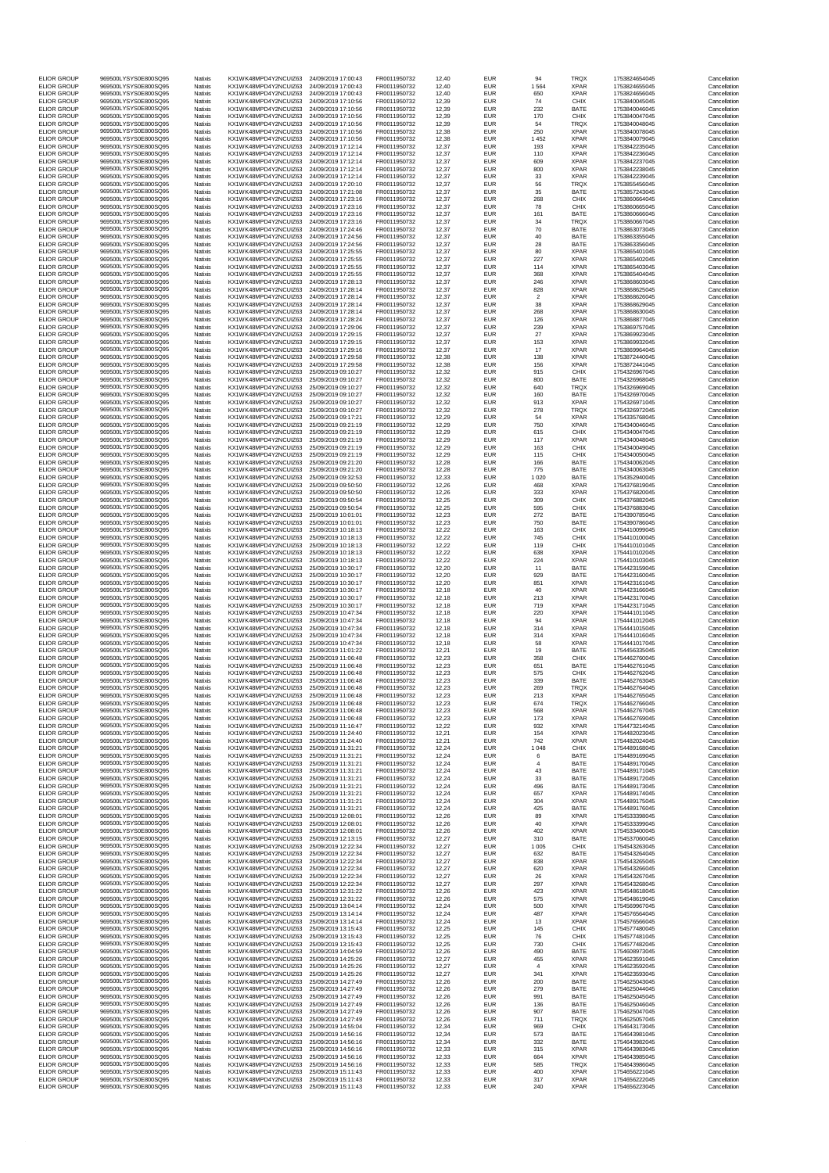| <b>ELIOR GROUP</b>                       | 969500LYSYS0E800SQ95                         | Natixis                   | KX1WK48MPD4Y2NCUIZ63                         | 24/09/2019 17:00:43                        | FR0011950732                 | 12,40          | <b>EUR</b>               | 94                    | <b>TRQX</b>                | 1753824654045                  | Cancellation                 |
|------------------------------------------|----------------------------------------------|---------------------------|----------------------------------------------|--------------------------------------------|------------------------------|----------------|--------------------------|-----------------------|----------------------------|--------------------------------|------------------------------|
| <b>ELIOR GROUP</b><br><b>ELIOR GROUP</b> | 969500LYSYS0E800SQ95<br>969500LYSYS0E800SQ95 | Natixis<br>Natixis        | KX1WK48MPD4Y2NCUIZ63<br>KX1WK48MPD4Y2NCUIZ63 | 24/09/2019 17:00:43<br>24/09/2019 17:00:43 | FR0011950732<br>FR0011950732 | 12,40<br>12,40 | <b>EUR</b><br><b>EUR</b> | 1 5 6 4<br>650        | <b>XPAR</b><br><b>XPAR</b> | 1753824655045<br>1753824656045 | Cancellation<br>Cancellation |
| <b>ELIOR GROUP</b>                       | 969500LYSYS0E800SQ95                         | Natixis                   | KX1WK48MPD4Y2NCUIZ63                         | 24/09/2019 17:10:56                        | FR0011950732                 | 12,39          | <b>EUR</b>               | 74                    | <b>CHIX</b>                | 1753840045045                  | Cancellation                 |
| <b>ELIOR GROUP</b>                       | 969500LYSYS0E800SQ95                         | Natixis                   | KX1WK48MPD4Y2NCUIZ63<br>KX1WK48MPD4Y2NCUIZ63 | 24/09/2019 17:10:56                        | FR0011950732                 | 12,39          | <b>EUR</b>               | 232                   | <b>BATE</b>                | 1753840046045                  | Cancellation                 |
| <b>ELIOR GROUP</b><br><b>ELIOR GROUP</b> | 969500LYSYS0E800SQ95<br>969500LYSYS0E800SQ95 | Natixis<br>Natixis        | KX1WK48MPD4Y2NCUIZ63                         | 24/09/2019 17:10:56<br>24/09/2019 17:10:56 | FR0011950732<br>FR0011950732 | 12,39<br>12,39 | <b>EUR</b><br><b>EUR</b> | 170<br>54             | <b>CHIX</b><br><b>TRQX</b> | 1753840047045<br>1753840048045 | Cancellation<br>Cancellation |
| <b>ELIOR GROUP</b><br><b>ELIOR GROUP</b> | 969500LYSYS0E800SQ95<br>969500LYSYS0E800SQ95 | Natixis<br>Natixis        | KX1WK48MPD4Y2NCUIZ63<br>KX1WK48MPD4Y2NCUIZ63 | 24/09/2019 17:10:56<br>24/09/2019 17:10:56 | FR0011950732<br>FR0011950732 | 12,38<br>12,38 | <b>EUR</b><br><b>EUR</b> | 250<br>1 4 5 2        | <b>XPAR</b><br><b>XPAR</b> | 1753840078045<br>1753840079045 | Cancellation<br>Cancellation |
| <b>ELIOR GROUP</b>                       | 969500LYSYS0E800SQ95                         | Natixis                   | KX1WK48MPD4Y2NCUIZ63                         | 24/09/2019 17:12:14                        | FR0011950732                 | 12,37          | <b>EUR</b>               | 193                   | <b>XPAR</b>                | 1753842235045                  | Cancellation                 |
| <b>ELIOR GROUP</b><br><b>ELIOR GROUP</b> | 969500LYSYS0E800SQ95<br>969500LYSYS0E800SQ95 | Natixis<br>Natixis        | KX1WK48MPD4Y2NCUIZ63<br>KX1WK48MPD4Y2NCUIZ63 | 24/09/2019 17:12:14<br>24/09/2019 17:12:14 | FR0011950732<br>FR0011950732 | 12,37<br>12,37 | <b>EUR</b><br><b>EUR</b> | 110<br>609            | <b>XPAR</b><br><b>XPAR</b> | 1753842236045<br>1753842237045 | Cancellation<br>Cancellation |
| <b>ELIOR GROUP</b>                       | 969500LYSYS0E800SQ95                         | Natixis                   | KX1WK48MPD4Y2NCUIZ63                         | 24/09/2019 17:12:14                        | FR0011950732                 | 12,37          | <b>EUR</b>               | 800                   | <b>XPAR</b>                | 1753842238045                  | Cancellation                 |
| <b>ELIOR GROUP</b><br><b>ELIOR GROUP</b> | 969500LYSYS0E800SQ95                         | Natixis                   | KX1WK48MPD4Y2NCUIZ63                         | 24/09/2019 17:12:14                        | FR0011950732                 | 12,37          | <b>EUR</b>               | 33                    | <b>XPAR</b>                | 1753842239045                  | Cancellation                 |
| <b>ELIOR GROUP</b>                       | 969500LYSYS0E800SQ95<br>969500LYSYS0E800SQ95 | Natixis<br>Natixis        | KX1WK48MPD4Y2NCUIZ63<br>KX1WK48MPD4Y2NCUIZ63 | 24/09/2019 17:20:10<br>24/09/2019 17:21:08 | FR0011950732<br>FR0011950732 | 12,37<br>12,37 | <b>EUR</b><br><b>EUR</b> | 56<br>35              | <b>TRQX</b><br><b>BATE</b> | 1753855456045<br>1753857243045 | Cancellation<br>Cancellation |
| <b>ELIOR GROUP</b>                       | 969500LYSYS0E800SQ95                         | Natixis                   | KX1WK48MPD4Y2NCUIZ63                         | 24/09/2019 17:23:16                        | FR0011950732                 | 12,37          | <b>EUR</b>               | 268                   | <b>CHIX</b>                | 1753860664045                  | Cancellation                 |
| <b>ELIOR GROUP</b><br><b>ELIOR GROUP</b> | 969500LYSYS0E800SQ95<br>969500LYSYS0E800SQ95 | Natixis<br>Natixis        | KX1WK48MPD4Y2NCUIZ63<br>KX1WK48MPD4Y2NCUIZ63 | 24/09/2019 17:23:16<br>24/09/2019 17:23:16 | FR0011950732<br>FR0011950732 | 12,37<br>12,37 | <b>EUR</b><br><b>EUR</b> | 78<br>161             | <b>CHIX</b><br><b>BATE</b> | 1753860665045<br>1753860666045 | Cancellation<br>Cancellation |
| <b>ELIOR GROUP</b>                       | 969500LYSYS0E800SQ95                         | Natixis                   | KX1WK48MPD4Y2NCUIZ63                         | 24/09/2019 17:23:16                        | FR0011950732                 | 12,37          | <b>EUR</b>               | 34                    | <b>TRQX</b>                | 1753860667045                  | Cancellation                 |
| <b>ELIOR GROUP</b><br><b>ELIOR GROUP</b> | 969500LYSYS0E800SQ95<br>969500LYSYS0E800SQ95 | Natixis<br>Natixis        | KX1WK48MPD4Y2NCUIZ63<br>KX1WK48MPD4Y2NCUIZ63 | 24/09/2019 17:24:46<br>24/09/2019 17:24:56 | FR0011950732<br>FR0011950732 | 12,37<br>12,37 | <b>EUR</b><br><b>EUR</b> | 70<br>40              | <b>BATE</b><br><b>BATE</b> | 1753863073045<br>1753863355045 | Cancellation<br>Cancellation |
| <b>ELIOR GROUP</b><br><b>ELIOR GROUP</b> | 969500LYSYS0E800SQ95<br>969500LYSYS0E800SQ95 | Natixis                   | KX1WK48MPD4Y2NCUIZ63                         | 24/09/2019 17:24:56                        | FR0011950732<br>FR0011950732 | 12,37          | <b>EUR</b>               | 28<br>80              | <b>BATE</b>                | 1753863356045                  | Cancellation                 |
| <b>ELIOR GROUP</b>                       | 969500LYSYS0E800SQ95                         | Natixis<br>Natixis        | KX1WK48MPD4Y2NCUIZ63<br>KX1WK48MPD4Y2NCUIZ63 | 24/09/2019 17:25:55<br>24/09/2019 17:25:55 | FR0011950732                 | 12,37<br>12,37 | <b>EUR</b><br><b>EUR</b> | 227                   | <b>XPAR</b><br><b>XPAR</b> | 1753865401045<br>1753865402045 | Cancellation<br>Cancellation |
| <b>ELIOR GROUP</b><br><b>ELIOR GROUP</b> | 969500LYSYS0E800SQ95<br>969500LYSYS0E800SQ95 | Natixis<br>Natixis        | KX1WK48MPD4Y2NCUIZ63<br>KX1WK48MPD4Y2NCUIZ63 | 24/09/2019 17:25:55<br>24/09/2019 17:25:55 | FR0011950732<br>FR0011950732 | 12,37<br>12,37 | <b>EUR</b><br><b>EUR</b> | 114<br>368            | <b>XPAR</b><br><b>XPAR</b> | 1753865403045<br>1753865404045 | Cancellation<br>Cancellation |
| <b>ELIOR GROUP</b>                       | 969500LYSYS0E800SQ95                         | Natixis                   | KX1WK48MPD4Y2NCUIZ63                         | 24/09/2019 17:28:13                        | FR0011950732                 | 12,37          | <b>EUR</b>               | 246                   | <b>XPAR</b>                | 1753868603045                  | Cancellation                 |
| <b>ELIOR GROUP</b><br><b>ELIOR GROUP</b> | 969500LYSYS0E800SQ95<br>969500LYSYS0E800SQ95 | Natixis<br><b>Natixis</b> | KX1WK48MPD4Y2NCUIZ63<br>KX1WK48MPD4Y2NCUIZ63 | 24/09/2019 17:28:14<br>24/09/2019 17:28:14 | FR0011950732<br>FR0011950732 | 12,37<br>12,37 | <b>EUR</b><br><b>EUR</b> | 828<br>$\overline{2}$ | <b>XPAR</b><br><b>XPAR</b> | 1753868625045<br>1753868626045 | Cancellation<br>Cancellation |
| <b>ELIOR GROUP</b>                       | 969500LYSYS0E800SQ95                         | Natixis                   | KX1WK48MPD4Y2NCUIZ63                         | 24/09/2019 17:28:14                        | FR0011950732                 | 12,37          | <b>EUR</b>               | 38                    | <b>XPAR</b>                | 1753868629045                  | Cancellation                 |
| <b>ELIOR GROUP</b><br><b>ELIOR GROUP</b> | 969500LYSYS0E800SQ95<br>969500LYSYS0E800SQ95 | Natixis<br>Natixis        | KX1WK48MPD4Y2NCUIZ63<br>KX1WK48MPD4Y2NCUIZ63 | 24/09/2019 17:28:14                        | FR0011950732<br>FR0011950732 | 12,37<br>12,37 | <b>EUR</b><br><b>EUR</b> | 268<br>126            | <b>XPAR</b><br><b>XPAR</b> | 1753868630045<br>1753868877045 | Cancellation<br>Cancellation |
| <b>ELIOR GROUP</b>                       | 969500LYSYS0E800SQ95                         | Natixis                   | KX1WK48MPD4Y2NCUIZ63                         | 24/09/2019 17:28:24<br>24/09/2019 17:29:06 | FR0011950732                 | 12,37          | <b>EUR</b>               | 239                   | <b>XPAR</b>                | 1753869757045                  | Cancellation                 |
| <b>ELIOR GROUP</b><br><b>ELIOR GROUP</b> | 969500LYSYS0E800SQ95<br>969500LYSYS0E800SQ95 | Natixis                   | KX1WK48MPD4Y2NCUIZ63<br>KX1WK48MPD4Y2NCUIZ63 | 24/09/2019 17:29:15                        | FR0011950732                 | 12,37<br>12,37 | <b>EUR</b><br><b>EUR</b> | 27<br>153             | <b>XPAR</b><br><b>XPAR</b> | 1753869923045<br>1753869932045 | Cancellation<br>Cancellation |
| <b>ELIOR GROUP</b>                       | 969500LYSYS0E800SQ95                         | Natixis<br>Natixis        | KX1WK48MPD4Y2NCUIZ63                         | 24/09/2019 17:29:15<br>24/09/2019 17:29:16 | FR0011950732<br>FR0011950732 | 12,37          | <b>EUR</b>               | 17                    | <b>XPAR</b>                | 1753869964045                  | Cancellation                 |
| <b>ELIOR GROUP</b>                       | 969500LYSYS0E800SQ95                         | Natixis                   | KX1WK48MPD4Y2NCUIZ63                         | 24/09/2019 17:29:58                        | FR0011950732                 | 12,38          | <b>EUR</b>               | 138                   | <b>XPAR</b>                | 1753872440045                  | Cancellation                 |
| <b>ELIOR GROUP</b><br><b>ELIOR GROUP</b> | 969500LYSYS0E800SQ95<br>969500LYSYS0E800SQ95 | Natixis<br>Natixis        | KX1WK48MPD4Y2NCUIZ63<br>KX1WK48MPD4Y2NCUIZ63 | 24/09/2019 17:29:58<br>25/09/2019 09:10:27 | FR0011950732<br>FR0011950732 | 12,38<br>12,32 | <b>EUR</b><br><b>EUR</b> | 156<br>915            | <b>XPAR</b><br><b>CHIX</b> | 1753872441045<br>1754326967045 | Cancellation<br>Cancellation |
| <b>ELIOR GROUP</b>                       | 969500LYSYS0E800SQ95                         | Natixis                   | KX1WK48MPD4Y2NCUIZ63                         | 25/09/2019 09:10:27                        | FR0011950732<br>FR0011950732 | 12,32          | <b>EUR</b>               | 800                   | <b>BATE</b>                | 1754326968045                  | Cancellation                 |
| <b>ELIOR GROUP</b><br><b>ELIOR GROUP</b> | 969500LYSYS0E800SQ95<br>969500LYSYS0E800SQ95 | Natixis<br>Natixis        | KX1WK48MPD4Y2NCUIZ63<br>KX1WK48MPD4Y2NCUIZ63 | 25/09/2019 09:10:27<br>25/09/2019 09:10:27 | FR0011950732                 | 12,32<br>12,32 | <b>EUR</b><br><b>EUR</b> | 640<br>160            | <b>TRQX</b><br><b>BATE</b> | 1754326969045<br>1754326970045 | Cancellation<br>Cancellation |
| <b>ELIOR GROUP</b><br><b>ELIOR GROUP</b> | 969500LYSYS0E800SQ95<br>969500LYSYS0E800SQ95 | <b>Natixis</b>            | KX1WK48MPD4Y2NCUIZ63                         | 25/09/2019 09:10:27                        | FR0011950732                 | 12,32          | <b>EUR</b>               | 913                   | <b>XPAR</b>                | 1754326971045                  | Cancellation                 |
| <b>ELIOR GROUP</b>                       | 969500LYSYS0E800SQ95                         | Natixis<br>Natixis        | KX1WK48MPD4Y2NCUIZ63<br>KX1WK48MPD4Y2NCUIZ63 | 25/09/2019 09:10:27<br>25/09/2019 09:17:21 | FR0011950732<br>FR0011950732 | 12,32<br>12,29 | <b>EUR</b><br><b>EUR</b> | 278<br>54             | <b>TRQX</b><br><b>XPAR</b> | 1754326972045<br>1754335768045 | Cancellation<br>Cancellation |
| <b>ELIOR GROUP</b>                       | 969500LYSYS0E800SQ95                         | Natixis                   | KX1WK48MPD4Y2NCUIZ63                         | 25/09/2019 09:21:19                        | FR0011950732                 | 12,29          | <b>EUR</b>               | 750                   | <b>XPAR</b>                | 1754340046045                  | Cancellation                 |
| <b>ELIOR GROUP</b><br><b>ELIOR GROUP</b> | 969500LYSYS0E800SQ95<br>969500LYSYS0E800SQ95 | Natixis<br>Natixis        | KX1WK48MPD4Y2NCUIZ63<br>KX1WK48MPD4Y2NCUIZ63 | 25/09/2019 09:21:19<br>25/09/2019 09:21:19 | FR0011950732<br>FR0011950732 | 12,29<br>12,29 | <b>EUR</b><br><b>EUR</b> | 615<br>117            | <b>CHIX</b><br><b>XPAR</b> | 1754340047045<br>1754340048045 | Cancellation<br>Cancellation |
| <b>ELIOR GROUP</b>                       | 969500LYSYS0E800SQ95                         | Natixis                   | KX1WK48MPD4Y2NCUIZ63                         | 25/09/2019 09:21:19                        | FR0011950732                 | 12,29          | <b>EUR</b>               | 163                   | <b>CHIX</b>                | 1754340049045                  | Cancellation                 |
| <b>ELIOR GROUP</b><br><b>ELIOR GROUP</b> | 969500LYSYS0E800SQ95<br>969500LYSYS0E800SQ95 | Natixis<br>Natixis        | KX1WK48MPD4Y2NCUIZ63<br>KX1WK48MPD4Y2NCUIZ63 | 25/09/2019 09:21:19<br>25/09/2019 09:21:20 | FR0011950732<br>FR0011950732 | 12,29<br>12,28 | <b>EUR</b><br><b>EUR</b> | 115<br>166            | <b>CHIX</b><br><b>BATE</b> | 1754340050045<br>1754340062045 | Cancellation<br>Cancellation |
| <b>ELIOR GROUP</b>                       | 969500LYSYS0E800SQ95                         | <b>Natixis</b>            | KX1WK48MPD4Y2NCUIZ63                         | 25/09/2019 09:21:20                        | FR0011950732                 | 12,28          | <b>EUR</b>               | 775                   | <b>BATE</b>                | 1754340063045                  | Cancellation                 |
| <b>ELIOR GROUP</b><br><b>ELIOR GROUP</b> | 969500LYSYS0E800SQ95<br>969500LYSYS0E800SQ95 | Natixis<br>Natixis        | KX1WK48MPD4Y2NCUIZ63<br>KX1WK48MPD4Y2NCUIZ63 | 25/09/2019 09:32:53<br>25/09/2019 09:50:50 | FR0011950732<br>FR0011950732 | 12,33<br>12,26 | <b>EUR</b><br><b>EUR</b> | 1 0 2 0<br>468        | <b>BATE</b><br><b>XPAR</b> | 1754352940045<br>1754376819045 | Cancellation<br>Cancellation |
| <b>ELIOR GROUP</b>                       | 969500LYSYS0E800SQ95                         | Natixis                   | KX1WK48MPD4Y2NCUIZ63                         | 25/09/2019 09:50:50                        | FR0011950732                 | 12,26          | <b>EUR</b>               | 333                   | <b>XPAR</b>                | 1754376820045                  | Cancellation                 |
| <b>ELIOR GROUP</b><br><b>ELIOR GROUP</b> | 969500LYSYS0E800SQ95<br>969500LYSYS0E800SQ95 | Natixis<br>Natixis        | KX1WK48MPD4Y2NCUIZ63<br>KX1WK48MPD4Y2NCUIZ63 | 25/09/2019 09:50:54<br>25/09/2019 09:50:54 | FR0011950732<br>FR0011950732 | 12,25<br>12,25 | <b>EUR</b><br><b>EUR</b> | 309<br>595            | <b>CHIX</b><br><b>CHIX</b> | 1754376882045<br>1754376883045 | Cancellation<br>Cancellation |
| <b>ELIOR GROUP</b>                       | 969500LYSYS0E800SQ95                         | Natixis                   | KX1WK48MPD4Y2NCUIZ63                         | 25/09/2019 10:01:01                        | FR0011950732                 | 12,23          | <b>EUR</b>               | 272                   | <b>BATE</b>                | 1754390785045                  | Cancellation                 |
| <b>ELIOR GROUP</b><br><b>ELIOR GROUP</b> | 969500LYSYS0E800SQ95<br>969500LYSYS0E800SQ95 | Natixis<br>Natixis        | KX1WK48MPD4Y2NCUIZ63<br>KX1WK48MPD4Y2NCUIZ63 | 25/09/2019 10:01:01<br>25/09/2019 10:18:13 | FR0011950732<br>FR0011950732 | 12,23<br>12,22 | <b>EUR</b><br><b>EUR</b> | 750<br>163            | <b>BATE</b><br><b>CHIX</b> | 1754390786045<br>1754410099045 | Cancellation<br>Cancellation |
| <b>ELIOR GROUP</b>                       | 969500LYSYS0E800SQ95                         | Natixis                   | KX1WK48MPD4Y2NCUIZ63                         | 25/09/2019 10:18:13                        | FR0011950732                 | 12,22          | <b>EUR</b>               | 745                   | <b>CHIX</b>                | 1754410100045                  | Cancellation                 |
| <b>ELIOR GROUP</b><br><b>ELIOR GROUP</b> | 969500LYSYS0E800SQ95<br>969500LYSYS0E800SQ95 | <b>Natixis</b><br>Natixis | KX1WK48MPD4Y2NCUIZ63<br>KX1WK48MPD4Y2NCUIZ63 | 25/09/2019 10:18:13<br>25/09/2019 10:18:13 | FR0011950732<br>FR0011950732 | 12,22<br>12,22 | <b>EUR</b><br><b>EUR</b> | 119<br>638            | <b>CHIX</b><br><b>XPAR</b> | 1754410101045<br>1754410102045 | Cancellation<br>Cancellation |
| <b>ELIOR GROUP</b>                       | 969500LYSYS0E800SQ95                         | Natixis                   | KX1WK48MPD4Y2NCUIZ63                         | 25/09/2019 10:18:13                        | FR0011950732                 | 12,22          | <b>EUR</b>               | 224                   | <b>XPAR</b>                | 1754410103045                  | Cancellation                 |
| <b>ELIOR GROUP</b><br><b>ELIOR GROUP</b> | 969500LYSYS0E800SQ95<br>969500LYSYS0E800SQ95 | Natixis<br>Natixis        | KX1WK48MPD4Y2NCUIZ63<br>KX1WK48MPD4Y2NCUIZ63 | 25/09/2019 10:30:17<br>25/09/2019 10:30:17 | FR0011950732<br>FR0011950732 | 12,20<br>12,20 | <b>EUR</b><br><b>EUR</b> | 11<br>929             | <b>BATE</b><br><b>BATE</b> | 1754423159045<br>1754423160045 | Cancellation<br>Cancellation |
| <b>ELIOR GROUP</b>                       | 969500LYSYS0E800SQ95                         | Natixis                   | KX1WK48MPD4Y2NCUIZ63                         | 25/09/2019 10:30:17                        | FR0011950732                 | 12,20          | <b>EUR</b>               | 851                   | <b>XPAR</b>                | 1754423161045                  | Cancellation                 |
| <b>ELIOR GROUP</b><br><b>ELIOR GROUP</b> | 969500LYSYS0E800SQ95<br>969500LYSYS0E800SQ95 | Natixis<br>Natixis        | KX1WK48MPD4Y2NCUIZ63<br>KX1WK48MPD4Y2NCUIZ63 | 25/09/2019 10:30:17<br>25/09/2019 10:30:17 | FR0011950732<br>FR0011950732 | 12,18<br>12,18 | <b>EUR</b><br><b>EUR</b> | 40<br>213             | <b>XPAR</b><br><b>XPAR</b> | 1754423166045<br>1754423170045 | Cancellation<br>Cancellation |
| <b>ELIOR GROUP</b>                       | 969500LYSYS0E800SQ95                         | Natixis                   | KX1WK48MPD4Y2NCUIZ63                         | 25/09/2019 10:30:17                        | FR0011950732                 | 12,18          | <b>EUR</b>               | 719                   | <b>XPAR</b>                | 1754423171045                  | Cancellation                 |
| <b>ELIOR GROUP</b><br><b>ELIOR GROUP</b> | 969500LYSYS0E800SQ95<br>969500LYSYS0E800SQ95 | Natixis<br><b>Natixis</b> | KX1WK48MPD4Y2NCUIZ63<br>KX1WK48MPD4Y2NCUIZ63 | 25/09/2019 10:47:34<br>25/09/2019 10:47:34 | FR0011950732<br>FR0011950732 | 12,18<br>12,18 | <b>EUR</b><br><b>EUR</b> | 220<br>94             | <b>XPAR</b><br><b>XPAR</b> | 1754441011045<br>1754441012045 | Cancellation<br>Cancellation |
| <b>ELIOR GROUP</b>                       | 969500LYSYS0E800SQ95                         | Natixis                   | KX1WK48MPD4Y2NCUIZ63                         | 25/09/2019 10:47:34                        | FR0011950732                 | 12,18          | <b>EUR</b>               | 314                   | <b>XPAR</b>                | 1754441015045                  | Cancellation                 |
| <b>ELIOR GROUP</b><br><b>ELIOR GROUP</b> | 969500LYSYS0E800SQ95<br>969500LYSYS0E800SQ95 | Natixis<br>Natixis        | KX1WK48MPD4Y2NCUIZ63<br>KX1WK48MPD4Y2NCUIZ63 | 25/09/2019 10:47:34<br>25/09/2019 10:47:34 | FR0011950732<br>FR0011950732 | 12,18<br>12,18 | <b>EUR</b><br><b>EUR</b> | 314<br>58             | <b>XPAR</b><br><b>XPAR</b> | 1754441016045<br>1754441017045 | Cancellation<br>Cancellation |
| <b>ELIOR GROUP</b>                       | 969500LYSYS0E800SQ95                         | Natixis                   | KX1WK48MPD4Y2NCUIZ63                         | 25/09/2019 11:01:22                        | FR0011950732                 | 12,21          | <b>EUR</b>               | 19                    | <b>BATE</b>                | 1754456335045                  | Cancellation                 |
| <b>ELIOR GROUP</b><br><b>ELIOR GROUP</b> | 969500LYSYS0E800SQ95<br>969500LYSYS0E800SQ95 | Natixis<br>Natixis        | KX1WK48MPD4Y2NCUIZ63<br>KX1WK48MPD4Y2NCUIZ63 | 25/09/2019 11:06:48<br>25/09/2019 11:06:48 | FR0011950732<br>FR0011950732 | 12,23<br>12,23 | <b>EUR</b><br><b>EUR</b> | 358<br>651            | <b>CHIX</b><br><b>BATE</b> | 1754462760045<br>1754462761045 | Cancellation<br>Cancellation |
| <b>ELIOR GROUP</b>                       | 969500LYSYS0E800SQ95                         | Natixis                   | KX1WK48MPD4Y2NCUIZ63                         | 25/09/2019 11:06:48                        | FR0011950732                 | 12,23          | <b>EUR</b>               | 575                   | <b>CHIX</b>                | 1754462762045                  | Cancellation                 |
| <b>ELIOR GROUP</b><br><b>ELIOR GROUP</b> | 969500LYSYS0E800SQ95<br>969500LYSYS0E800SQ95 | Natixis<br>Natixis        | KX1WK48MPD4Y2NCUIZ63<br>KX1WK48MPD4Y2NCUIZ63 | 25/09/2019 11:06:48<br>25/09/2019 11:06:48 | FR0011950732<br>FR0011950732 | 12,23<br>12,23 | <b>EUR</b><br><b>EUR</b> | 339<br>269            | <b>BATE</b><br><b>TRQX</b> | 1754462763045<br>1754462764045 | Cancellation<br>Cancellation |
| <b>ELIOR GROUP</b>                       | 969500LYSYS0E800SQ95                         | Natixis                   | KX1WK48MPD4Y2NCUIZ63                         | 25/09/2019 11:06:48                        | FR0011950732                 | 12,23          | <b>EUR</b>               | 213                   | <b>XPAR</b>                | 1754462765045                  | Cancellation                 |
| <b>ELIOR GROUP</b><br><b>ELIOR GROUP</b> | 969500LYSYS0E800SQ95<br>969500LYSYS0E800SQ95 | Natixis<br>Natixis        | KX1WK48MPD4Y2NCUIZ63<br>KX1WK48MPD4Y2NCUIZ63 | 25/09/2019 11:06:48<br>25/09/2019 11:06:48 | FR0011950732<br>FR0011950732 | 12,23<br>12,23 | <b>EUR</b><br><b>EUR</b> | 674<br>568            | <b>TRQX</b><br><b>XPAR</b> | 1754462766045<br>1754462767045 | Cancellation<br>Cancellation |
| <b>ELIOR GROUP</b>                       | 969500LYSYS0E800SQ95                         | Natixis                   | KX1WK48MPD4Y2NCUIZ63                         | 25/09/2019 11:06:48                        | FR0011950732                 | 12,23          | <b>EUR</b>               | 173                   | <b>XPAR</b>                | 1754462769045                  | Cancellation                 |
| <b>ELIOR GROUP</b><br><b>ELIOR GROUP</b> | 969500LYSYS0E800SQ95<br>969500LYSYS0E800SQ95 | Natixis<br><b>Natixis</b> | KX1WK48MPD4Y2NCUIZ63<br>KX1WK48MPD4Y2NCUIZ63 | 25/09/2019 11:16:47<br>25/09/2019 11:24:40 | FR0011950732<br>FR0011950732 | 12,22<br>12,21 | <b>EUR</b><br><b>EUR</b> | 932<br>154            | <b>XPAR</b><br><b>XPAR</b> | 1754473214045<br>1754482023045 | Cancellation<br>Cancellation |
| <b>ELIOR GROUP</b>                       | 969500LYSYS0E800SQ95                         | Natixis                   | KX1WK48MPD4Y2NCUIZ63                         | 25/09/2019 11:24:40                        | FR0011950732                 | 12,21          | <b>EUR</b>               | 742                   | <b>XPAR</b>                | 1754482024045                  | Cancellation                 |
| <b>ELIOR GROUP</b><br><b>ELIOR GROUP</b> | 969500LYSYS0E800SQ95<br>969500LYSYS0E800SQ95 | Natixis<br>Natixis        | KX1WK48MPD4Y2NCUIZ63<br>KX1WK48MPD4Y2NCUIZ63 | 25/09/2019 11:31:21<br>25/09/2019 11:31:21 | FR0011950732<br>FR0011950732 | 12,24<br>12,24 | <b>EUR</b><br><b>EUR</b> | 1 0 4 8<br>6          | <b>CHIX</b><br><b>BATE</b> | 1754489168045<br>1754489169045 | Cancellation<br>Cancellation |
| <b>ELIOR GROUP</b>                       | 969500LYSYS0E800SQ95                         | Natixis                   | KX1WK48MPD4Y2NCUIZ63                         | 25/09/2019 11:31:21                        | FR0011950732                 | 12,24          | <b>EUR</b>               |                       | <b>BATE</b>                | 1754489170045                  | Cancellation                 |
| <b>ELIOR GROUP</b><br><b>ELIOR GROUP</b> | 969500LYSYS0E800SQ95<br>969500LYSYS0E800SQ95 | Natixis<br>Natixis        | KX1WK48MPD4Y2NCUIZ63<br>KX1WK48MPD4Y2NCUIZ63 | 25/09/2019 11:31:21<br>25/09/2019 11:31:21 | FR0011950732<br>FR0011950732 | 12,24<br>12,24 | <b>EUR</b><br><b>EUR</b> | 43<br>33              | <b>BATE</b><br><b>BATE</b> | 1754489171045<br>1754489172045 | Cancellation<br>Cancellation |
| <b>ELIOR GROUP</b>                       | 969500LYSYS0E800SQ95                         | Natixis                   | KX1WK48MPD4Y2NCUIZ63                         | 25/09/2019 11:31:21                        | FR0011950732                 | 12,24          | <b>EUR</b>               | 496                   | <b>BATE</b>                | 1754489173045                  | Cancellation                 |
| <b>ELIOR GROUP</b><br><b>ELIOR GROUP</b> | 969500LYSYS0E800SQ95<br>969500LYSYS0E800SQ95 | Natixis<br>Natixis        | KX1WK48MPD4Y2NCUIZ63<br>KX1WK48MPD4Y2NCUIZ63 | 25/09/2019 11:31:21<br>25/09/2019 11:31:21 | FR0011950732<br>FR0011950732 | 12,24<br>12,24 | <b>EUR</b><br><b>EUR</b> | 657<br>304            | <b>XPAR</b><br><b>XPAR</b> | 1754489174045<br>1754489175045 | Cancellation<br>Cancellation |
| <b>ELIOR GROUP</b><br><b>ELIOR GROUP</b> | 969500LYSYS0E800SQ95<br>969500LYSYS0E800SQ95 | Natixis                   | KX1WK48MPD4Y2NCUIZ63<br>KX1WK48MPD4Y2NCUIZ63 | 25/09/2019 11:31:21<br>25/09/2019 12:08:01 | FR0011950732                 | 12,24<br>12,26 | <b>EUR</b><br><b>EUR</b> | 425<br>89             | <b>BATE</b><br><b>XPAR</b> | 1754489176045<br>1754533398045 | Cancellation<br>Cancellation |
| <b>ELIOR GROUP</b>                       | 969500LYSYS0E800SQ95                         | Natixis<br>Natixis        | KX1WK48MPD4Y2NCUIZ63                         | 25/09/2019 12:08:01                        | FR0011950732<br>FR0011950732 | 12,26          | <b>EUR</b>               | 40                    | <b>XPAR</b>                | 1754533399045                  | Cancellation                 |
| <b>ELIOR GROUP</b>                       | 969500LYSYS0E800SQ95                         | Natixis                   | KX1WK48MPD4Y2NCUIZ63                         | 25/09/2019 12:08:01                        | FR0011950732                 | 12,26          | <b>EUR</b>               | 402                   | <b>XPAR</b>                | 1754533400045                  | Cancellation                 |
| <b>ELIOR GROUP</b><br><b>ELIOR GROUP</b> | 969500LYSYS0E800SQ95<br>969500LYSYS0E800SQ95 | Natixis<br>Natixis        | KX1WK48MPD4Y2NCUIZ63<br>KX1WK48MPD4Y2NCUIZ63 | 25/09/2019 12:13:15<br>25/09/2019 12:22:34 | FR0011950732<br>FR0011950732 | 12,27<br>12,27 | <b>EUR</b><br><b>EUR</b> | 310<br>1 0 0 5        | <b>BATE</b><br><b>CHIX</b> | 1754537060045<br>1754543263045 | Cancellation<br>Cancellation |
| <b>ELIOR GROUP</b><br><b>ELIOR GROUP</b> | 969500LYSYS0E800SQ95                         | Natixis                   | KX1WK48MPD4Y2NCUIZ63                         | 25/09/2019 12:22:34                        | FR0011950732<br>FR0011950732 | 12,27          | <b>EUR</b>               | 632                   | <b>BATE</b>                | 1754543264045                  | Cancellation                 |
| <b>ELIOR GROUP</b>                       | 969500LYSYS0E800SQ95<br>969500LYSYS0E800SQ95 | Natixis<br>Natixis        | KX1WK48MPD4Y2NCUIZ63<br>KX1WK48MPD4Y2NCUIZ63 | 25/09/2019 12:22:34<br>25/09/2019 12:22:34 | FR0011950732                 | 12,27<br>12,27 | <b>EUR</b><br><b>EUR</b> | 838<br>620            | <b>XPAR</b><br><b>XPAR</b> | 1754543265045<br>1754543266045 | Cancellation<br>Cancellation |
| <b>ELIOR GROUP</b><br><b>ELIOR GROUP</b> | 969500LYSYS0E800SQ95<br>969500LYSYS0E800SQ95 | Natixis<br>Natixis        | KX1WK48MPD4Y2NCUIZ63<br>KX1WK48MPD4Y2NCUIZ63 | 25/09/2019 12:22:34<br>25/09/2019 12:22:34 | FR0011950732<br>FR0011950732 | 12,27<br>12,27 | <b>EUR</b><br><b>EUR</b> | 26<br>297             | <b>XPAR</b><br><b>XPAR</b> | 1754543267045<br>1754543268045 | Cancellation<br>Cancellation |
| <b>ELIOR GROUP</b>                       | 969500LYSYS0E800SQ95                         | Natixis                   | KX1WK48MPD4Y2NCUIZ63                         | 25/09/2019 12:31:22                        | FR0011950732                 | 12,26          | <b>EUR</b>               | 423                   | <b>XPAR</b>                | 1754548618045                  | Cancellation                 |
| <b>ELIOR GROUP</b><br><b>ELIOR GROUP</b> | 969500LYSYS0E800SQ95<br>969500LYSYS0E800SQ95 | Natixis<br>Natixis        | KX1WK48MPD4Y2NCUIZ63<br>KX1WK48MPD4Y2NCUIZ63 | 25/09/2019 12:31:22<br>25/09/2019 13:04:14 | FR0011950732<br>FR0011950732 | 12,26<br>12,24 | <b>EUR</b><br><b>EUR</b> | 575<br>500            | <b>XPAR</b><br><b>XPAR</b> | 1754548619045<br>1754569967045 | Cancellation<br>Cancellation |
| <b>ELIOR GROUP</b>                       | 969500LYSYS0E800SQ95                         | Natixis                   | KX1WK48MPD4Y2NCUIZ63                         | 25/09/2019 13:14:14                        | FR0011950732                 | 12,24          | <b>EUR</b>               | 487                   | <b>XPAR</b>                | 1754576564045                  | Cancellation                 |
| <b>ELIOR GROUP</b><br><b>ELIOR GROUP</b> | 969500LYSYS0E800SQ95<br>969500LYSYS0E800SQ95 | Natixis<br>Natixis        | KX1WK48MPD4Y2NCUIZ63<br>KX1WK48MPD4Y2NCUIZ63 | 25/09/2019 13:14:14<br>25/09/2019 13:15:43 | FR0011950732<br>FR0011950732 | 12,24<br>12,25 | <b>EUR</b><br><b>EUR</b> | 13<br>145             | <b>XPAR</b><br><b>CHIX</b> | 1754576566045<br>1754577480045 | Cancellation<br>Cancellation |
| <b>ELIOR GROUP</b>                       | 969500LYSYS0E800SQ95                         | Natixis                   | KX1WK48MPD4Y2NCUIZ63                         | 25/09/2019 13:15:43                        | FR0011950732                 | 12,25          | <b>EUR</b>               | 76                    | <b>CHIX</b>                | 1754577481045                  | Cancellation                 |
| <b>ELIOR GROUP</b><br><b>ELIOR GROUP</b> | 969500LYSYS0E800SQ95<br>969500LYSYS0E800SQ95 | Natixis<br>Natixis        | KX1WK48MPD4Y2NCUIZ63<br>KX1WK48MPD4Y2NCUIZ63 | 25/09/2019 13:15:43<br>25/09/2019 14:04:59 | FR0011950732<br>FR0011950732 | 12,25<br>12,26 | <b>EUR</b><br><b>EUR</b> | 730<br>490            | <b>CHIX</b><br><b>BATE</b> | 1754577482045<br>1754608973045 | Cancellation<br>Cancellation |
| <b>ELIOR GROUP</b>                       | 969500LYSYS0E800SQ95                         | Natixis                   | KX1WK48MPD4Y2NCUIZ63                         | 25/09/2019 14:25:26                        | FR0011950732                 | 12,27          | <b>EUR</b>               | 455                   | <b>XPAR</b>                | 1754623591045                  | Cancellation                 |
| <b>ELIOR GROUP</b><br><b>ELIOR GROUP</b> | 969500LYSYS0E800SQ95<br>969500LYSYS0E800SQ95 | Natixis<br>Natixis        | KX1WK48MPD4Y2NCUIZ63<br>KX1WK48MPD4Y2NCUIZ63 | 25/09/2019 14:25:26<br>25/09/2019 14:25:26 | FR0011950732<br>FR0011950732 | 12,27<br>12,27 | <b>EUR</b><br><b>EUR</b> | 4<br>341              | <b>XPAR</b><br><b>XPAR</b> | 1754623592045<br>1754623593045 | Cancellation<br>Cancellation |
| <b>ELIOR GROUP</b>                       | 969500LYSYS0E800SQ95                         | Natixis                   | KX1WK48MPD4Y2NCUIZ63                         | 25/09/2019 14:27:49                        | FR0011950732                 | 12,26          | <b>EUR</b>               | 200                   | <b>BATE</b>                | 1754625043045                  | Cancellation                 |
| <b>ELIOR GROUP</b><br><b>ELIOR GROUP</b> | 969500LYSYS0E800SQ95<br>969500LYSYS0E800SQ95 | Natixis<br>Natixis        | KX1WK48MPD4Y2NCUIZ63<br>KX1WK48MPD4Y2NCUIZ63 | 25/09/2019 14:27:49<br>25/09/2019 14:27:49 | FR0011950732<br>FR0011950732 | 12,26<br>12,26 | <b>EUR</b><br><b>EUR</b> | 279<br>991            | <b>BATE</b><br><b>BATE</b> | 1754625044045<br>1754625045045 | Cancellation<br>Cancellation |
| <b>ELIOR GROUP</b>                       | 969500LYSYS0E800SQ95                         | Natixis                   | KX1WK48MPD4Y2NCUIZ63                         | 25/09/2019 14:27:49                        | FR0011950732                 | 12,26          | <b>EUR</b>               | 136                   | <b>BATE</b>                | 1754625046045                  | Cancellation                 |
| <b>ELIOR GROUP</b><br><b>ELIOR GROUP</b> | 969500LYSYS0E800SQ95<br>969500LYSYS0E800SQ95 | Natixis<br>Natixis        | KX1WK48MPD4Y2NCUIZ63<br>KX1WK48MPD4Y2NCUIZ63 | 25/09/2019 14:27:49<br>25/09/2019 14:27:49 | FR0011950732<br>FR0011950732 | 12,26<br>12,26 | <b>EUR</b><br><b>EUR</b> | 907<br>711            | <b>BATE</b><br><b>TRQX</b> | 1754625047045<br>1754625057045 | Cancellation<br>Cancellation |
| <b>ELIOR GROUP</b>                       | 969500LYSYS0E800SQ95                         | Natixis                   | KX1WK48MPD4Y2NCUIZ63                         | 25/09/2019 14:55:04                        | FR0011950732                 | 12,34          | <b>EUR</b>               | 969                   | <b>CHIX</b>                | 1754643173045                  | Cancellation                 |
| <b>ELIOR GROUP</b><br><b>ELIOR GROUP</b> | 969500LYSYS0E800SQ95<br>969500LYSYS0E800SQ95 | Natixis<br>Natixis        | KX1WK48MPD4Y2NCUIZ63<br>KX1WK48MPD4Y2NCUIZ63 | 25/09/2019 14:56:16<br>25/09/2019 14:56:16 | FR0011950732<br>FR0011950732 | 12,34<br>12,34 | <b>EUR</b><br><b>EUR</b> | 573<br>332            | <b>BATE</b><br><b>BATE</b> | 1754643981045<br>1754643982045 | Cancellation<br>Cancellation |
| <b>ELIOR GROUP</b>                       | 969500LYSYS0E800SQ95                         | Natixis                   | KX1WK48MPD4Y2NCUIZ63                         | 25/09/2019 14:56:16                        | FR0011950732                 | 12,33          | <b>EUR</b>               | 315                   | <b>XPAR</b>                | 1754643983045                  | Cancellation                 |
| <b>ELIOR GROUP</b><br><b>ELIOR GROUP</b> | 969500LYSYS0E800SQ95<br>969500LYSYS0E800SQ95 | Natixis<br>Natixis        | KX1WK48MPD4Y2NCUIZ63<br>KX1WK48MPD4Y2NCUIZ63 | 25/09/2019 14:56:16<br>25/09/2019 14:56:16 | FR0011950732<br>FR0011950732 | 12,33<br>12,33 | <b>EUR</b><br><b>EUR</b> | 664<br>585            | <b>XPAR</b><br><b>TRQX</b> | 1754643985045<br>1754643986045 | Cancellation<br>Cancellation |
| <b>ELIOR GROUP</b>                       | 969500LYSYS0E800SQ95                         | Natixis                   | KX1WK48MPD4Y2NCUIZ63                         | 25/09/2019 15:11:43                        | FR0011950732                 | 12,33          | <b>EUR</b>               | 400                   | <b>XPAR</b>                | 1754656221045                  | Cancellation                 |
| <b>ELIOR GROUP</b><br><b>ELIOR GROUP</b> | 969500LYSYS0E800SQ95<br>969500LYSYS0E800SQ95 | Natixis<br>Natixis        | KX1WK48MPD4Y2NCUIZ63<br>KX1WK48MPD4Y2NCUIZ63 | 25/09/2019 15:11:43<br>25/09/2019 15:11:43 | FR0011950732<br>FR0011950732 | 12,33<br>12,33 | <b>EUR</b><br><b>EUR</b> | 317<br>240            | <b>XPAR</b><br><b>XPAR</b> | 1754656222045<br>1754656223045 | Cancellation<br>Cancellation |